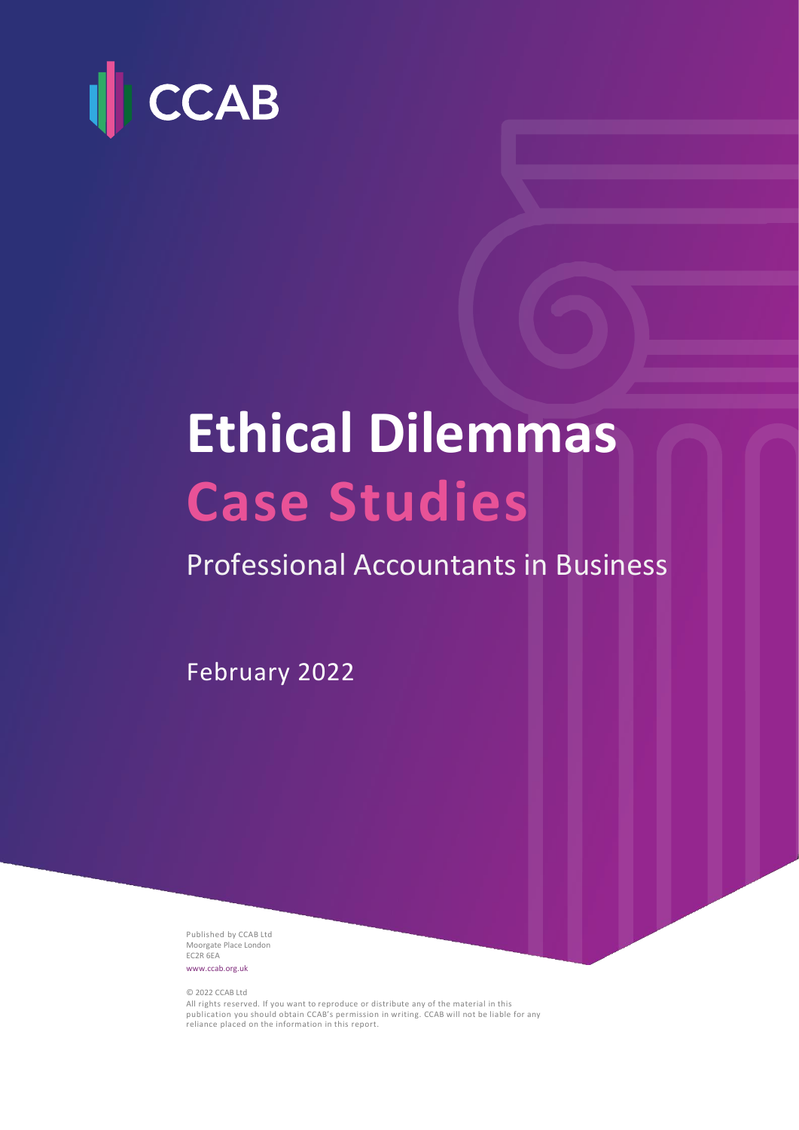

# **Ethical Dilemmas Case Studies**

## Professional Accountants in Business

February 2022

Published by CCAB Ltd Moorgate Place London EC2R 6EA [www.ccab.org.uk](http://www.ccab.org.uk/)

© 2022 CCAB Ltd

All rights reserved. If you want to reproduce or distribute any of the material in this publication you should obtain CCAB's permission in writing. CCAB will not be liable for any reliance placed on the information in this report.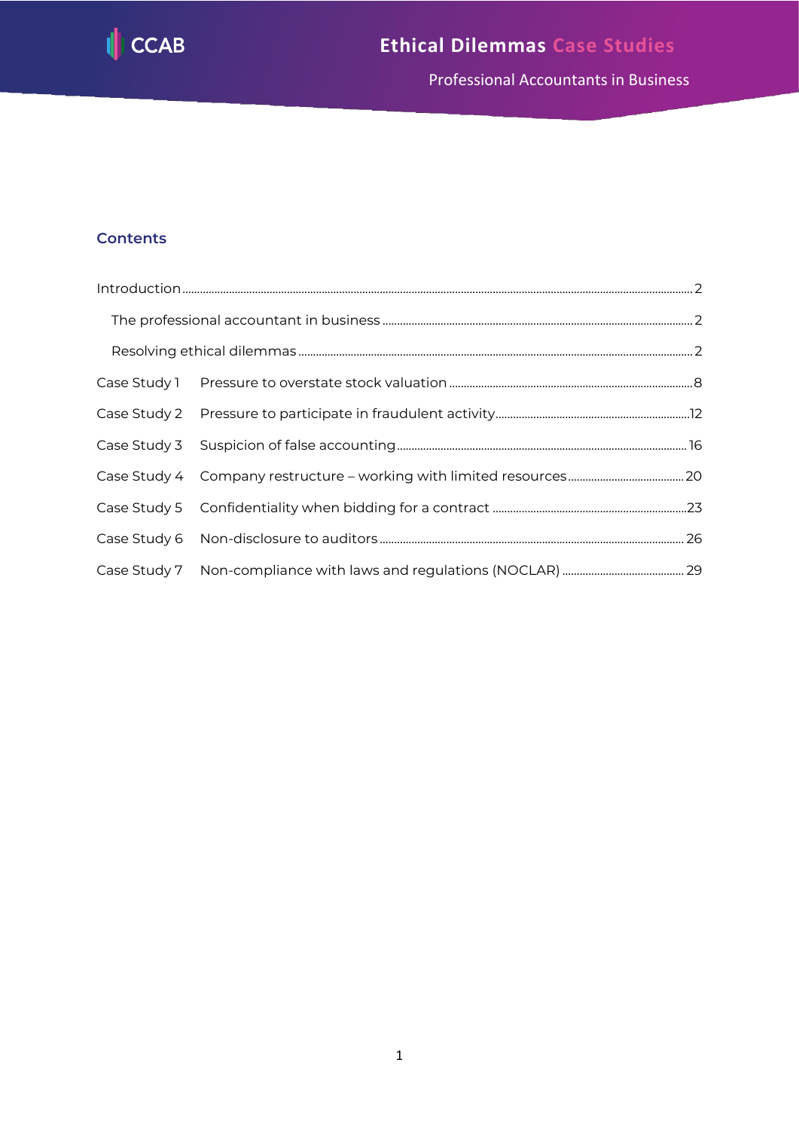

#### **Contents**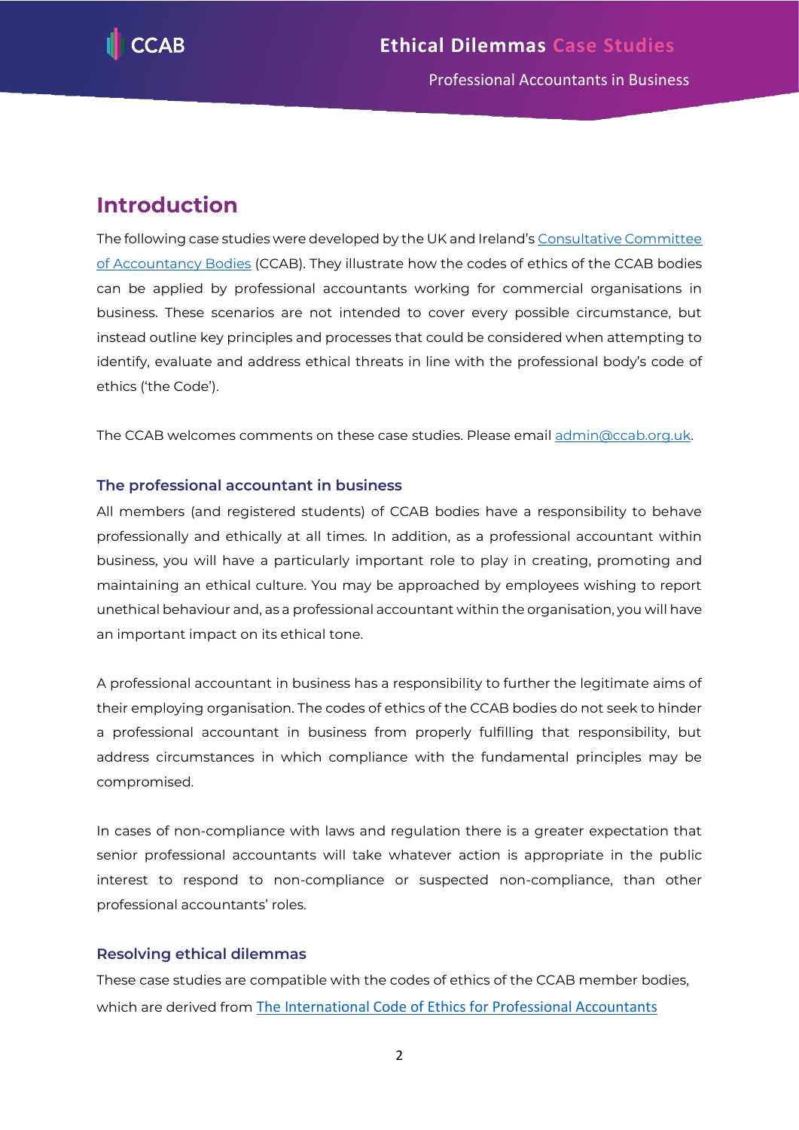

## <span id="page-2-0"></span>**Introduction**

The following case studies were developed by the UK and Ireland's [Consultative Committee](http://www.ccab.org.uk/)  [of Accountancy Bodies](http://www.ccab.org.uk/) (CCAB). They illustrate how the codes of ethics of the CCAB bodies can be applied by professional accountants working for commercial organisations in business. These scenarios are not intended to cover every possible circumstance, but instead outline key principles and processes that could be considered when attempting to identify, evaluate and address ethical threats in line with the professional body's code of ethics ('the Code').

The CCAB welcomes comments on these case studies. Please email [admin@ccab.org.uk.](mailto:admin@ccab.org.uk)

#### <span id="page-2-1"></span>**The professional accountant in business**

All members (and registered students) of CCAB bodies have a responsibility to behave professionally and ethically at all times. In addition, as a professional accountant within business, you will have a particularly important role to play in creating, promoting and maintaining an ethical culture. You may be approached by employees wishing to report unethical behaviour and, as a professional accountant within the organisation, you will have an important impact on its ethical tone.

A professional accountant in business has a responsibility to further the legitimate aims of their employing organisation. The codes of ethics of the CCAB bodies do not seek to hinder a professional accountant in business from properly fulfilling that responsibility, but address circumstances in which compliance with the fundamental principles may be compromised.

In cases of non-compliance with laws and regulation there is a greater expectation that senior professional accountants will take whatever action is appropriate in the public interest to respond to non-compliance or suspected non-compliance, than other professional accountants' roles.

#### <span id="page-2-2"></span>**Resolving ethical dilemmas**

These case studies are compatible with the codes of ethics of the CCAB member bodies, which are derived from [The International Code of Ethics for Professional Accountants](https://www.ethicsboard.org/international-code-ethics-professional-accountants)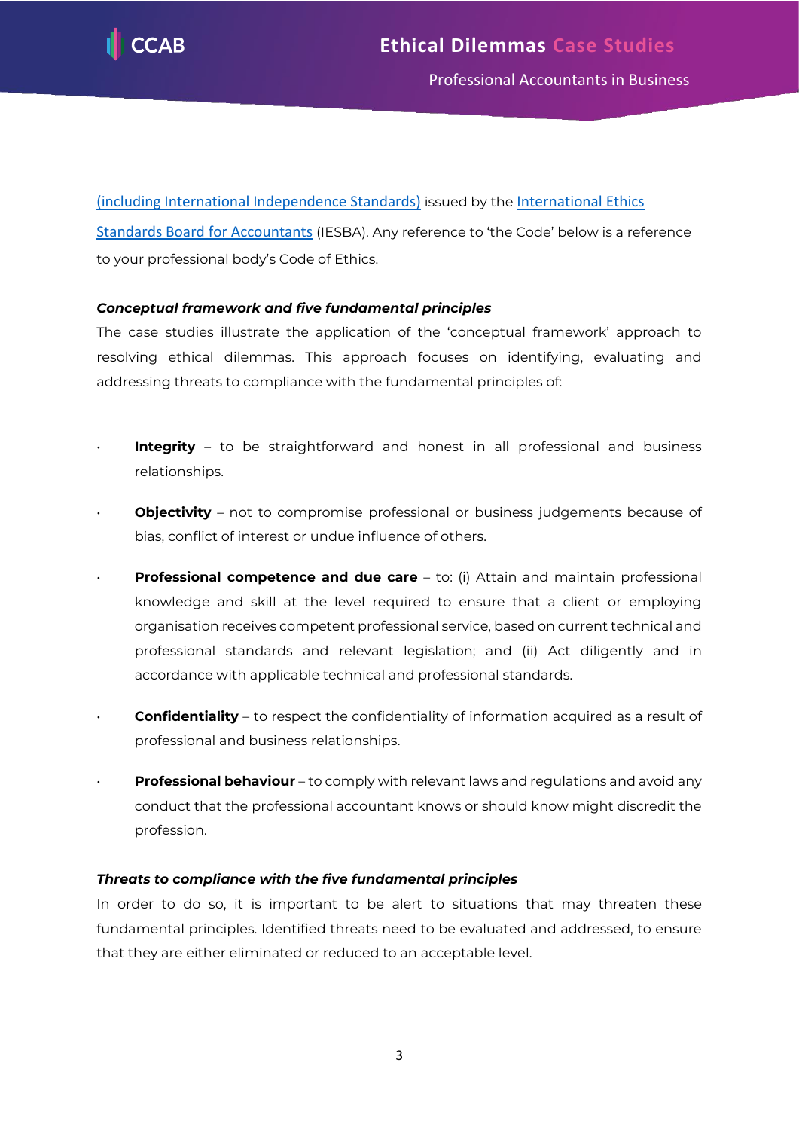

#### [\(including International Independence Standards\)](https://www.ethicsboard.org/international-code-ethics-professional-accountants) issued by the [International Ethics](https://www.ethicsboard.org/)

[Standards Board for Accountants](https://www.ethicsboard.org/) (IESBA). Any reference to 'the Code' below is a reference to your professional body's Code of Ethics.

#### *Conceptual framework and five fundamental principles*

The case studies illustrate the application of the 'conceptual framework' approach to resolving ethical dilemmas. This approach focuses on identifying, evaluating and addressing threats to compliance with the fundamental principles of:

- **Integrity** to be straightforward and honest in all professional and business relationships.
- **Objectivity** not to compromise professional or business judgements because of bias, conflict of interest or undue influence of others.
- **Professional competence and due care** to: (i) Attain and maintain professional knowledge and skill at the level required to ensure that a client or employing organisation receives competent professional service, based on current technical and professional standards and relevant legislation; and (ii) Act diligently and in accordance with applicable technical and professional standards.
- **Confidentiality** to respect the confidentiality of information acquired as a result of professional and business relationships.
- **Professional behaviour** to comply with relevant laws and regulations and avoid any conduct that the professional accountant knows or should know might discredit the profession.

#### *Threats to compliance with the five fundamental principles*

In order to do so, it is important to be alert to situations that may threaten these fundamental principles. Identified threats need to be evaluated and addressed, to ensure that they are either eliminated or reduced to an acceptable level.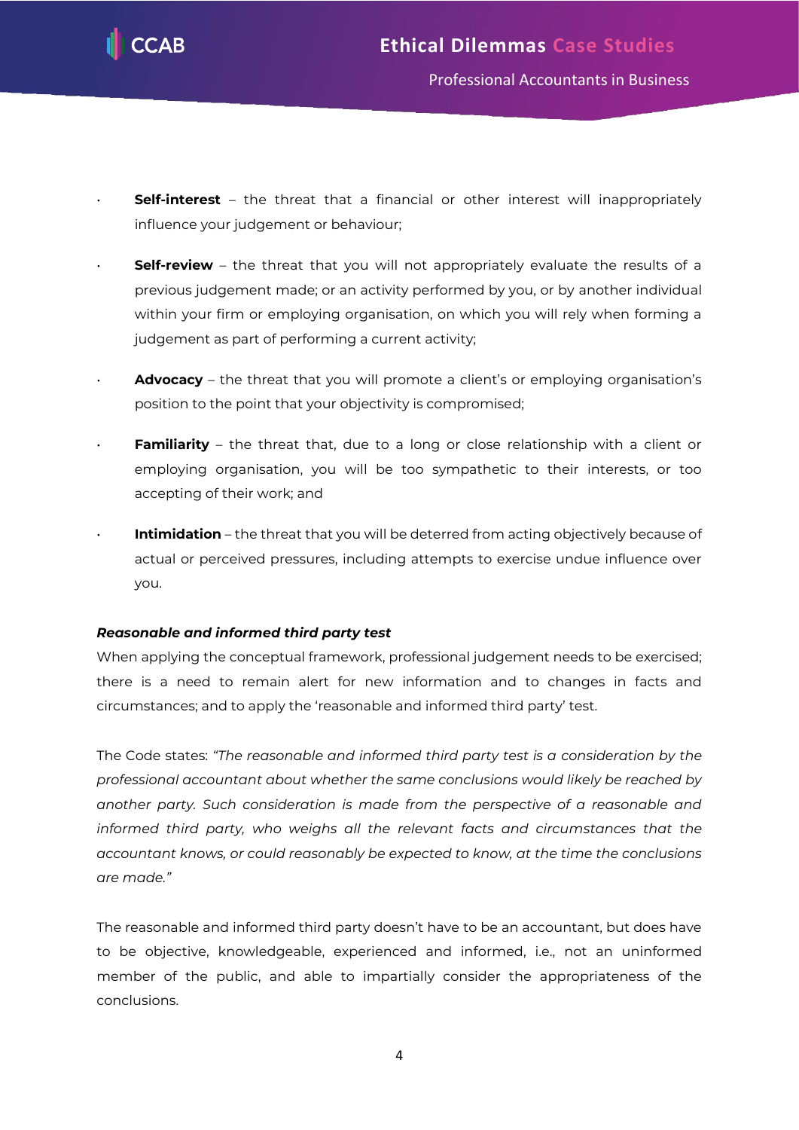

- **Self-interest** the threat that a financial or other interest will inappropriately influence your judgement or behaviour;
- **Self-review** the threat that you will not appropriately evaluate the results of a previous judgement made; or an activity performed by you, or by another individual within your firm or employing organisation, on which you will rely when forming a judgement as part of performing a current activity;
- **Advocacy** the threat that you will promote a client's or employing organisation's position to the point that your objectivity is compromised;
- **Familiarity** the threat that, due to a long or close relationship with a client or employing organisation, you will be too sympathetic to their interests, or too accepting of their work; and
- **Intimidation** the threat that you will be deterred from acting objectively because of actual or perceived pressures, including attempts to exercise undue influence over you.

#### *Reasonable and informed third party test*

When applying the conceptual framework, professional judgement needs to be exercised; there is a need to remain alert for new information and to changes in facts and circumstances; and to apply the 'reasonable and informed third party' test.

The Code states: *"The reasonable and informed third party test is a consideration by the professional accountant about whether the same conclusions would likely be reached by another party. Such consideration is made from the perspective of a reasonable and informed third party, who weighs all the relevant facts and circumstances that the accountant knows, or could reasonably be expected to know, at the time the conclusions are made."*

The reasonable and informed third party doesn't have to be an accountant, but does have to be objective, knowledgeable, experienced and informed, i.e., not an uninformed member of the public, and able to impartially consider the appropriateness of the conclusions.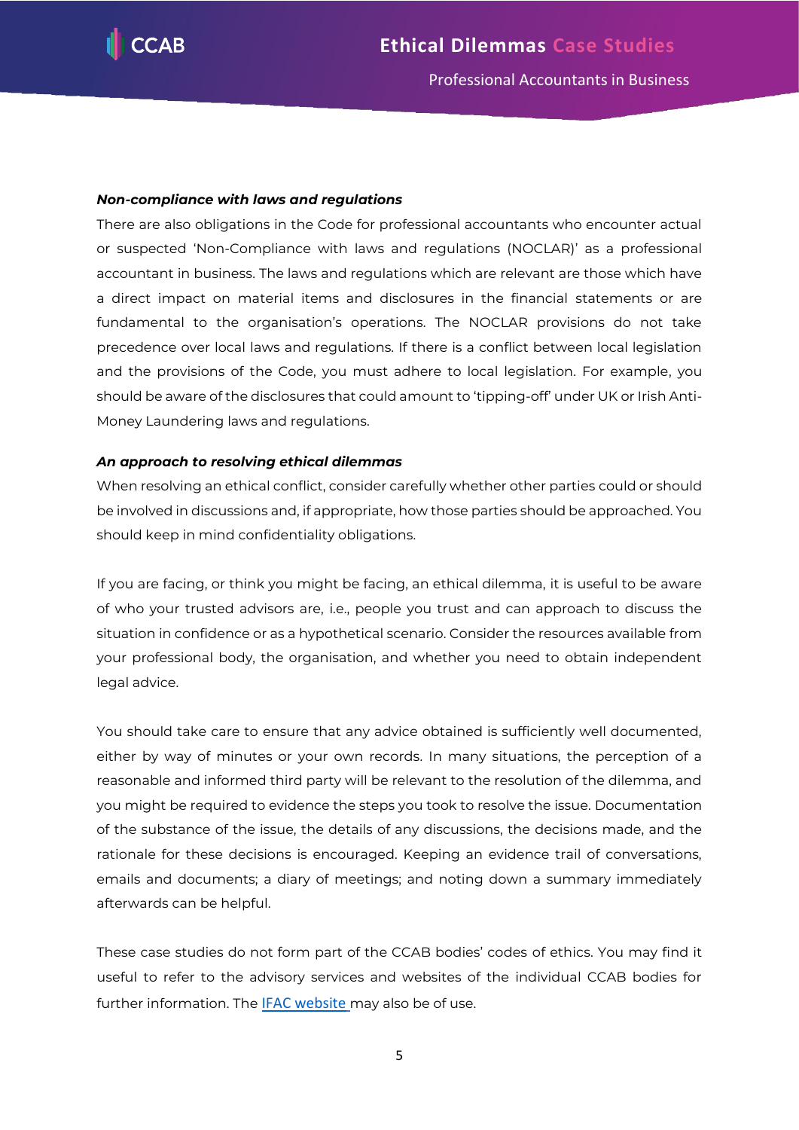

#### *Non-compliance with laws and regulations*

There are also obligations in the Code for professional accountants who encounter actual or suspected 'Non-Compliance with laws and regulations (NOCLAR)' as a professional accountant in business. The laws and regulations which are relevant are those which have a direct impact on material items and disclosures in the financial statements or are fundamental to the organisation's operations. The NOCLAR provisions do not take precedence over local laws and regulations. If there is a conflict between local legislation and the provisions of the Code, you must adhere to local legislation. For example, you should be aware of the disclosures that could amount to 'tipping-off' under UK or Irish Anti-Money Laundering laws and regulations.

#### *An approach to resolving ethical dilemmas*

When resolving an ethical conflict, consider carefully whether other parties could or should be involved in discussions and, if appropriate, how those parties should be approached. You should keep in mind confidentiality obligations.

If you are facing, or think you might be facing, an ethical dilemma, it is useful to be aware of who your trusted advisors are, i.e., people you trust and can approach to discuss the situation in confidence or as a hypothetical scenario. Consider the resources available from your professional body, the organisation, and whether you need to obtain independent legal advice.

You should take care to ensure that any advice obtained is sufficiently well documented, either by way of minutes or your own records. In many situations, the perception of a reasonable and informed third party will be relevant to the resolution of the dilemma, and you might be required to evidence the steps you took to resolve the issue. Documentation of the substance of the issue, the details of any discussions, the decisions made, and the rationale for these decisions is encouraged. Keeping an evidence trail of conversations, emails and documents; a diary of meetings; and noting down a summary immediately afterwards can be helpful.

These case studies do not form part of the CCAB bodies' codes of ethics. You may find it useful to refer to the advisory services and websites of the individual CCAB bodies for further information. The [IFAC website](https://www.ifac.org/) may also be of use.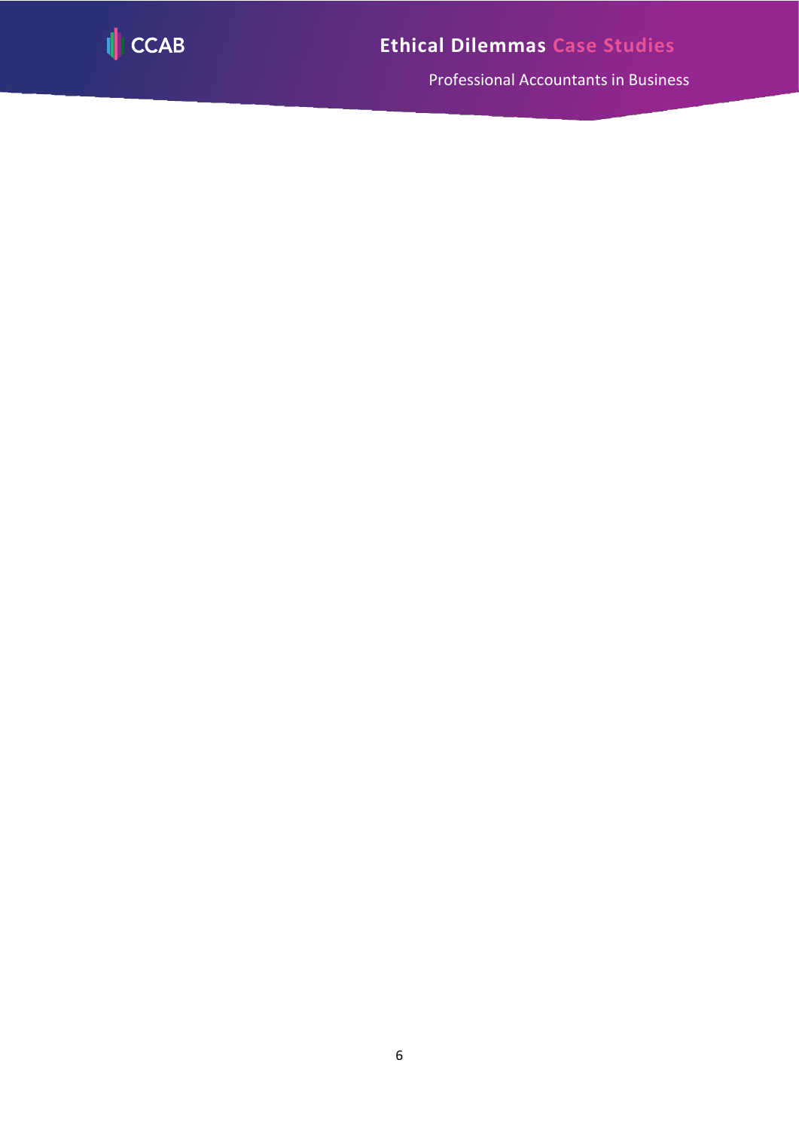

## **Ethical Dilemmas Case Studies**

Professional Accountants in Business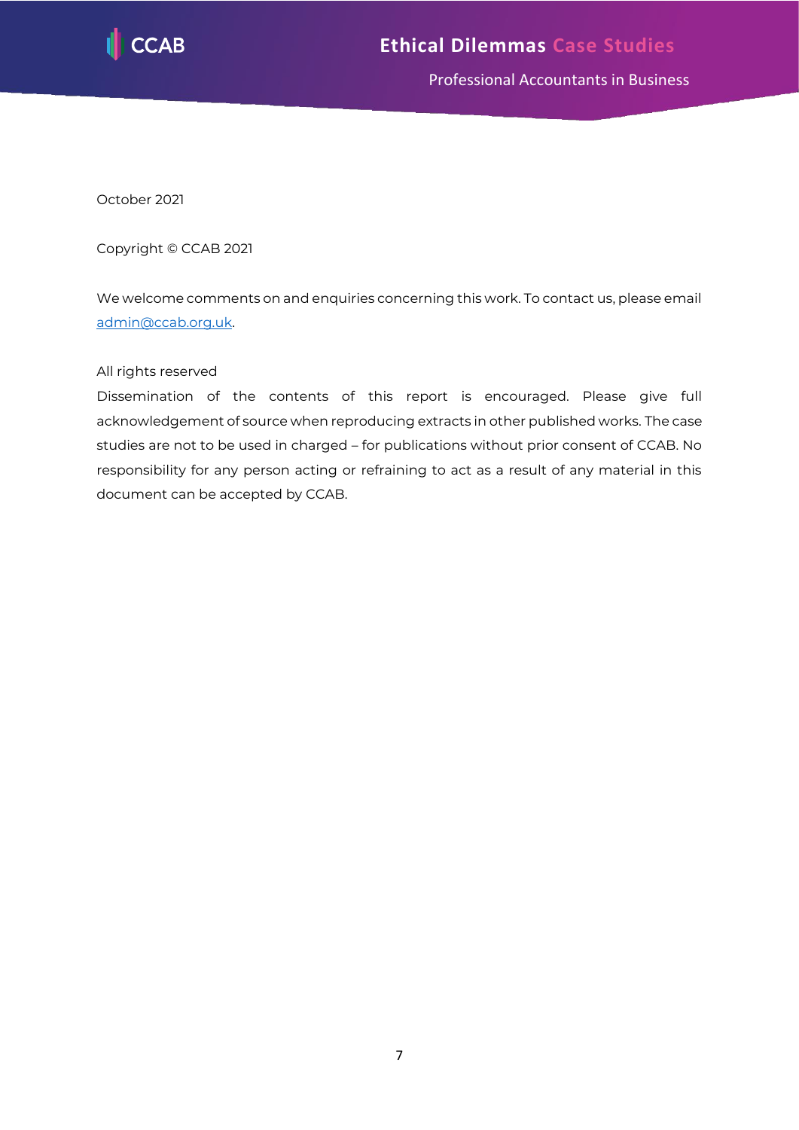

October 2021

Copyright © CCAB 2021

We welcome comments on and enquiries concerning this work. To contact us, please email [admin@ccab.org.uk.](mailto:admin@ccab.org.uk)

#### All rights reserved

Dissemination of the contents of this report is encouraged. Please give full acknowledgement of source when reproducing extracts in other published works. The case studies are not to be used in charged – for publications without prior consent of CCAB. No responsibility for any person acting or refraining to act as a result of any material in this document can be accepted by CCAB.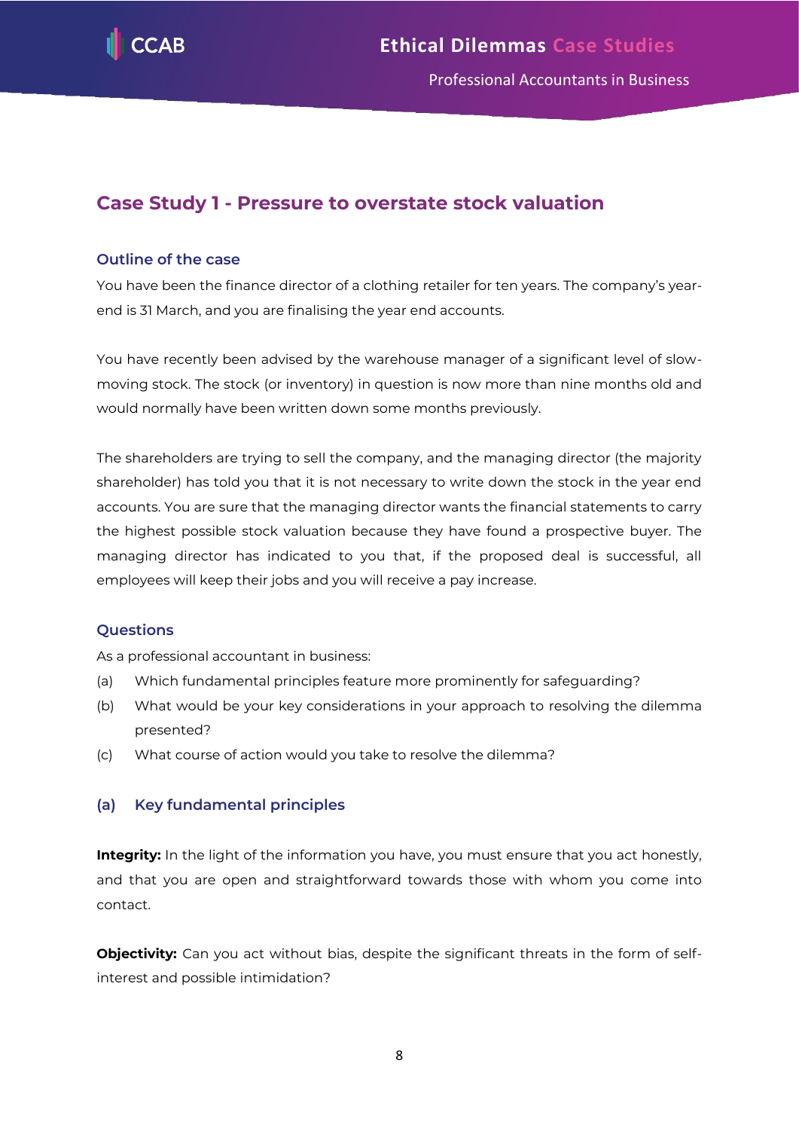

## <span id="page-8-0"></span>**Case Study 1 - Pressure to overstate stock valuation**

#### **Outline of the case**

You have been the finance director of a clothing retailer for ten years. The company's yearend is 31 March, and you are finalising the year end accounts.

You have recently been advised by the warehouse manager of a significant level of slowmoving stock. The stock (or inventory) in question is now more than nine months old and would normally have been written down some months previously.

The shareholders are trying to sell the company, and the managing director (the majority shareholder) has told you that it is not necessary to write down the stock in the year end accounts. You are sure that the managing director wants the financial statements to carry the highest possible stock valuation because they have found a prospective buyer. The managing director has indicated to you that, if the proposed deal is successful, all employees will keep their jobs and you will receive a pay increase.

#### **Questions**

As a professional accountant in business:

- (a) Which fundamental principles feature more prominently for safeguarding?
- (b) What would be your key considerations in your approach to resolving the dilemma presented?
- (c) What course of action would you take to resolve the dilemma?

#### **(a) Key fundamental principles**

**Integrity:** In the light of the information you have, you must ensure that you act honestly, and that you are open and straightforward towards those with whom you come into contact.

**Objectivity:** Can you act without bias, despite the significant threats in the form of selfinterest and possible intimidation?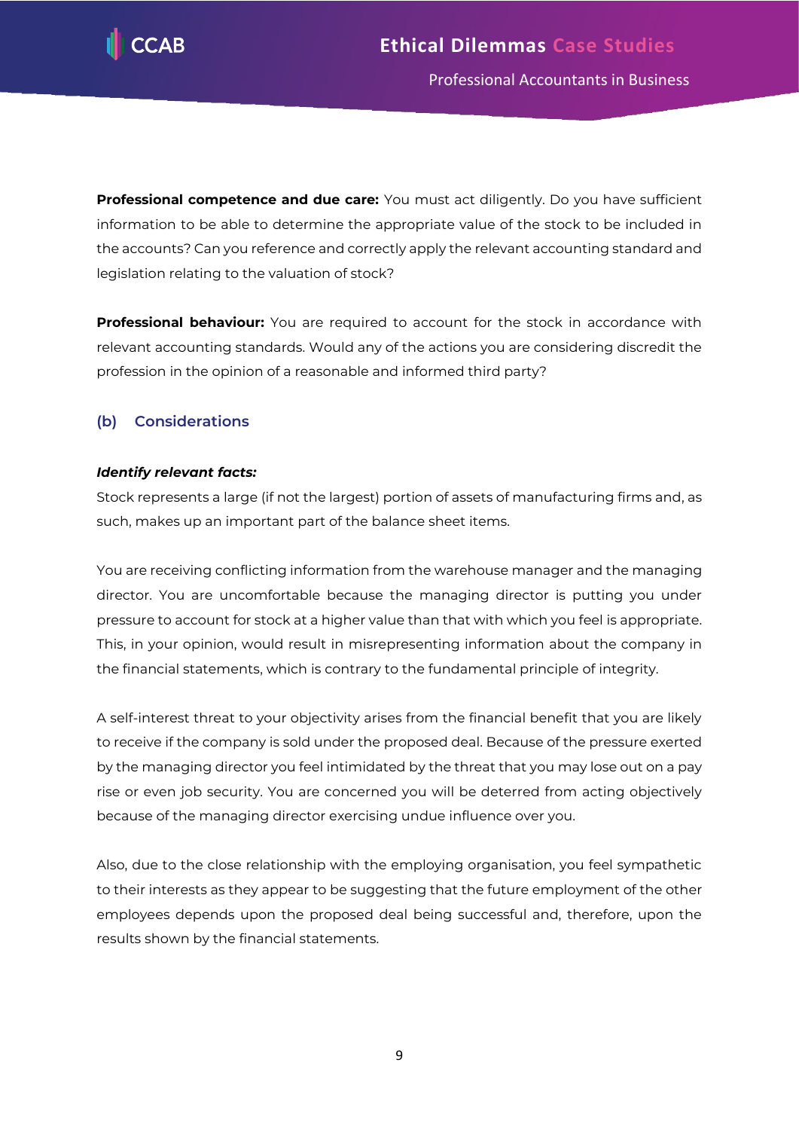

**Professional competence and due care:** You must act diligently. Do you have sufficient information to be able to determine the appropriate value of the stock to be included in the accounts? Can you reference and correctly apply the relevant accounting standard and legislation relating to the valuation of stock?

**Professional behaviour:** You are required to account for the stock in accordance with relevant accounting standards. Would any of the actions you are considering discredit the profession in the opinion of a reasonable and informed third party?

#### **(b) Considerations**

#### *Identify relevant facts:*

Stock represents a large (if not the largest) portion of assets of manufacturing firms and, as such, makes up an important part of the balance sheet items.

You are receiving conflicting information from the warehouse manager and the managing director. You are uncomfortable because the managing director is putting you under pressure to account for stock at a higher value than that with which you feel is appropriate. This, in your opinion, would result in misrepresenting information about the company in the financial statements, which is contrary to the fundamental principle of integrity.

A self-interest threat to your objectivity arises from the financial benefit that you are likely to receive if the company is sold under the proposed deal. Because of the pressure exerted by the managing director you feel intimidated by the threat that you may lose out on a pay rise or even job security. You are concerned you will be deterred from acting objectively because of the managing director exercising undue influence over you.

Also, due to the close relationship with the employing organisation, you feel sympathetic to their interests as they appear to be suggesting that the future employment of the other employees depends upon the proposed deal being successful and, therefore, upon the results shown by the financial statements.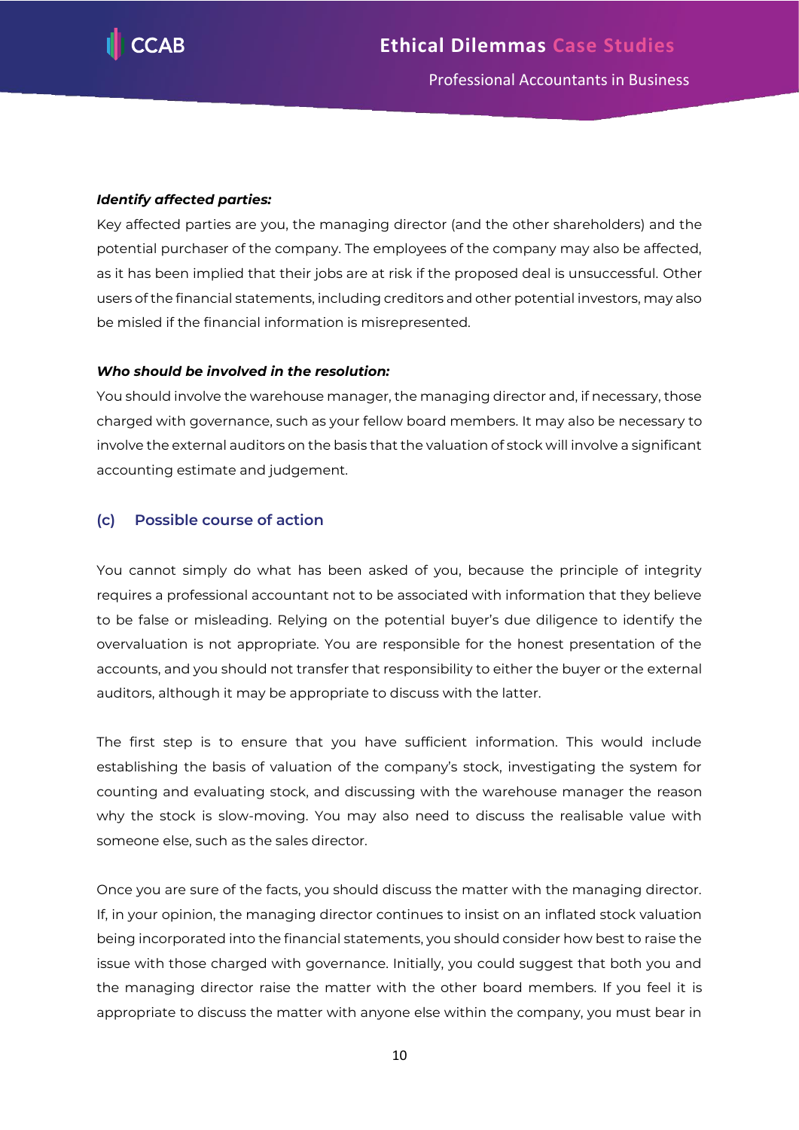

#### *Identify affected parties:*

Key affected parties are you, the managing director (and the other shareholders) and the potential purchaser of the company. The employees of the company may also be affected, as it has been implied that their jobs are at risk if the proposed deal is unsuccessful. Other users of the financial statements, including creditors and other potential investors, may also be misled if the financial information is misrepresented.

#### *Who should be involved in the resolution:*

You should involve the warehouse manager, the managing director and, if necessary, those charged with governance, such as your fellow board members. It may also be necessary to involve the external auditors on the basis that the valuation of stock will involve a significant accounting estimate and judgement.

#### **(c) Possible course of action**

You cannot simply do what has been asked of you, because the principle of integrity requires a professional accountant not to be associated with information that they believe to be false or misleading. Relying on the potential buyer's due diligence to identify the overvaluation is not appropriate. You are responsible for the honest presentation of the accounts, and you should not transfer that responsibility to either the buyer or the external auditors, although it may be appropriate to discuss with the latter.

The first step is to ensure that you have sufficient information. This would include establishing the basis of valuation of the company's stock, investigating the system for counting and evaluating stock, and discussing with the warehouse manager the reason why the stock is slow-moving. You may also need to discuss the realisable value with someone else, such as the sales director.

Once you are sure of the facts, you should discuss the matter with the managing director. If, in your opinion, the managing director continues to insist on an inflated stock valuation being incorporated into the financial statements, you should consider how best to raise the issue with those charged with governance. Initially, you could suggest that both you and the managing director raise the matter with the other board members. If you feel it is appropriate to discuss the matter with anyone else within the company, you must bear in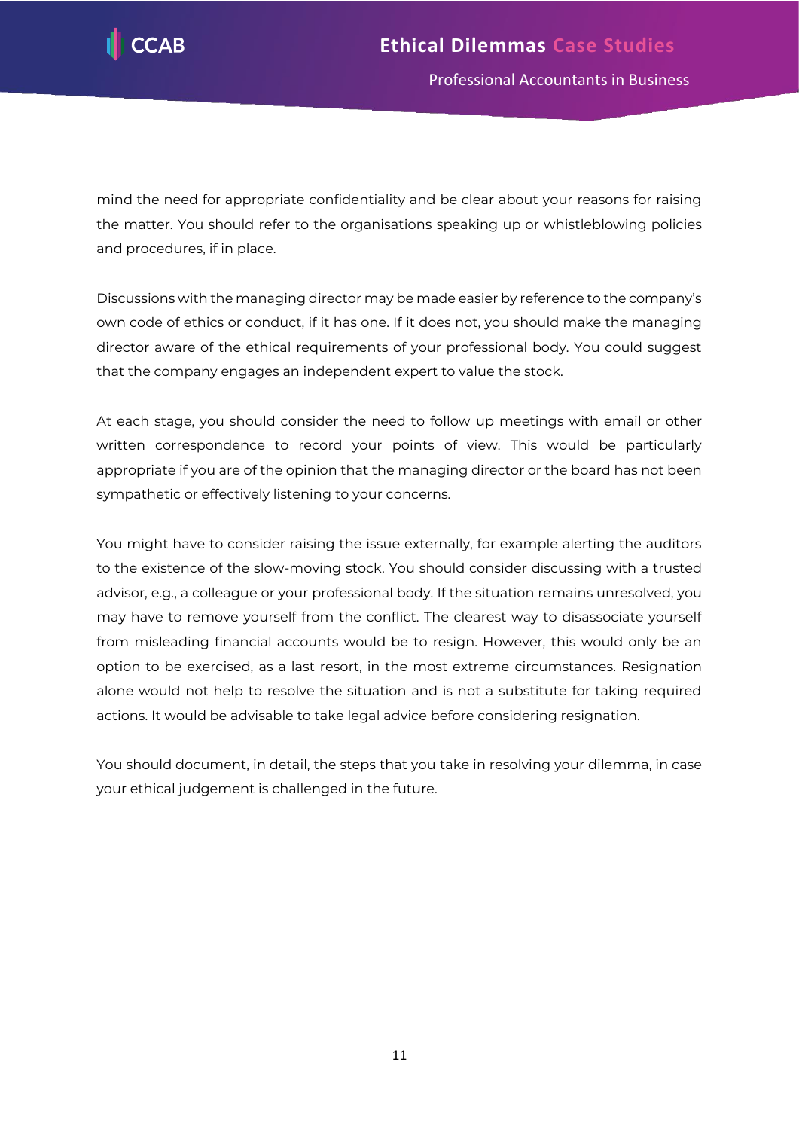

mind the need for appropriate confidentiality and be clear about your reasons for raising the matter. You should refer to the organisations speaking up or whistleblowing policies and procedures, if in place.

Discussions with the managing director may be made easier by reference to the company's own code of ethics or conduct, if it has one. If it does not, you should make the managing director aware of the ethical requirements of your professional body. You could suggest that the company engages an independent expert to value the stock.

At each stage, you should consider the need to follow up meetings with email or other written correspondence to record your points of view. This would be particularly appropriate if you are of the opinion that the managing director or the board has not been sympathetic or effectively listening to your concerns.

You might have to consider raising the issue externally, for example alerting the auditors to the existence of the slow-moving stock. You should consider discussing with a trusted advisor, e.g., a colleague or your professional body. If the situation remains unresolved, you may have to remove yourself from the conflict. The clearest way to disassociate yourself from misleading financial accounts would be to resign. However, this would only be an option to be exercised, as a last resort, in the most extreme circumstances. Resignation alone would not help to resolve the situation and is not a substitute for taking required actions. It would be advisable to take legal advice before considering resignation.

You should document, in detail, the steps that you take in resolving your dilemma, in case your ethical judgement is challenged in the future.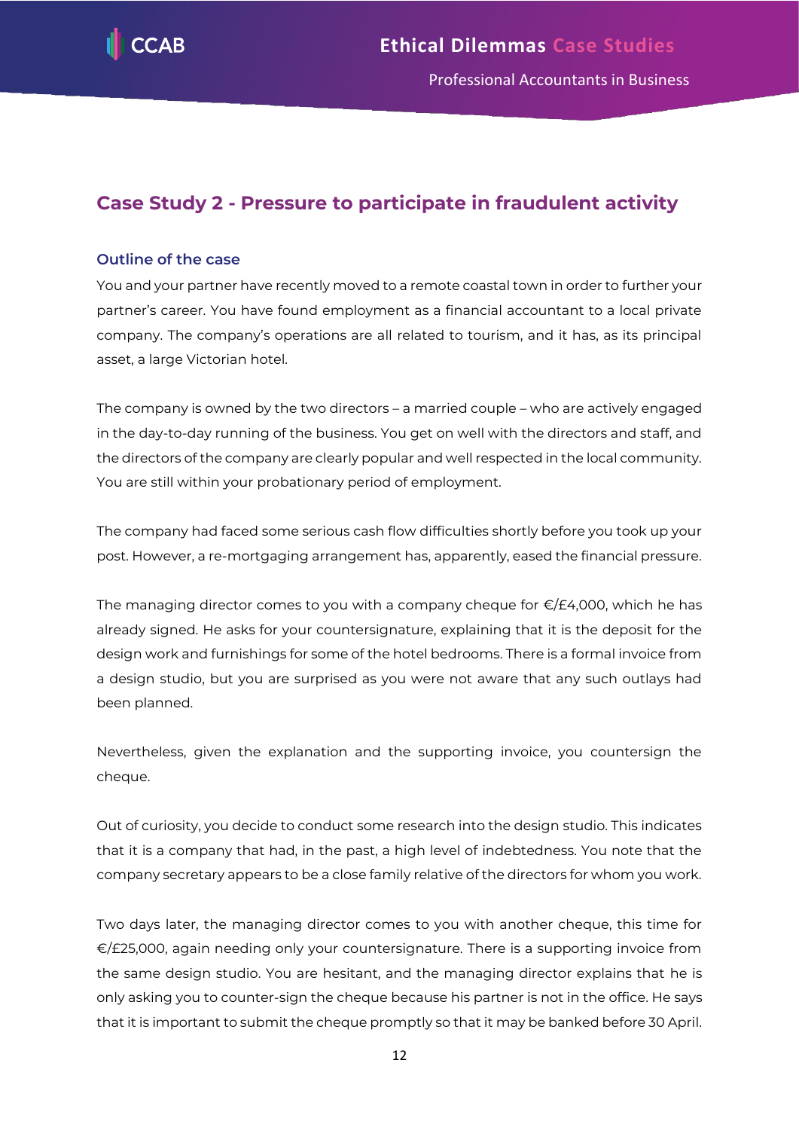

## <span id="page-12-0"></span>**Case Study 2 - Pressure to participate in fraudulent activity**

#### **Outline of the case**

You and your partner have recently moved to a remote coastal town in order to further your partner's career. You have found employment as a financial accountant to a local private company. The company's operations are all related to tourism, and it has, as its principal asset, a large Victorian hotel.

The company is owned by the two directors – a married couple – who are actively engaged in the day-to-day running of the business. You get on well with the directors and staff, and the directors of the company are clearly popular and well respected in the local community. You are still within your probationary period of employment.

The company had faced some serious cash flow difficulties shortly before you took up your post. However, a re-mortgaging arrangement has, apparently, eased the financial pressure.

The managing director comes to you with a company cheque for  $E/E4,000$ , which he has already signed. He asks for your countersignature, explaining that it is the deposit for the design work and furnishings for some of the hotel bedrooms. There is a formal invoice from a design studio, but you are surprised as you were not aware that any such outlays had been planned.

Nevertheless, given the explanation and the supporting invoice, you countersign the cheque.

Out of curiosity, you decide to conduct some research into the design studio. This indicates that it is a company that had, in the past, a high level of indebtedness. You note that the company secretary appears to be a close family relative of the directors for whom you work.

Two days later, the managing director comes to you with another cheque, this time for  $E/E25,000$ , again needing only your countersignature. There is a supporting invoice from the same design studio. You are hesitant, and the managing director explains that he is only asking you to counter-sign the cheque because his partner is not in the office. He says that it is important to submit the cheque promptly so that it may be banked before 30 April.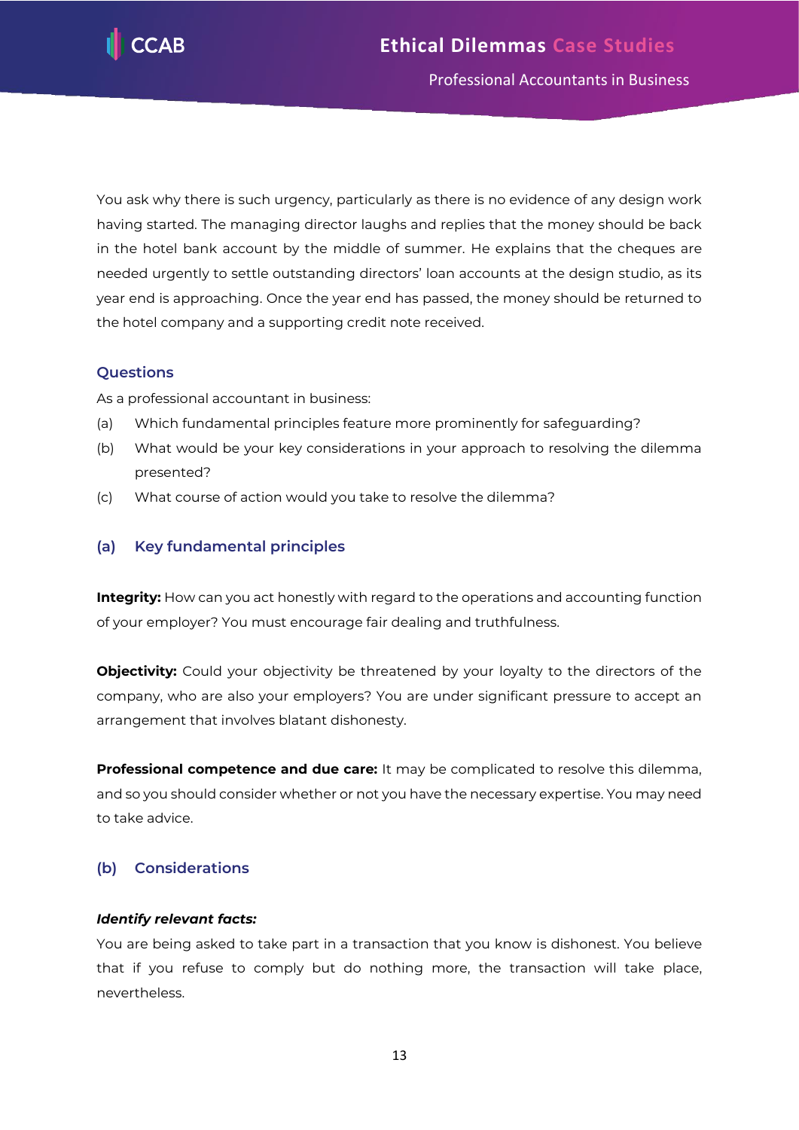

You ask why there is such urgency, particularly as there is no evidence of any design work having started. The managing director laughs and replies that the money should be back in the hotel bank account by the middle of summer. He explains that the cheques are needed urgently to settle outstanding directors' loan accounts at the design studio, as its year end is approaching. Once the year end has passed, the money should be returned to the hotel company and a supporting credit note received.

#### **Questions**

As a professional accountant in business:

- (a) Which fundamental principles feature more prominently for safeguarding?
- (b) What would be your key considerations in your approach to resolving the dilemma presented?
- (c) What course of action would you take to resolve the dilemma?

#### **(a) Key fundamental principles**

**Integrity:** How can you act honestly with regard to the operations and accounting function of your employer? You must encourage fair dealing and truthfulness.

**Objectivity:** Could your objectivity be threatened by your loyalty to the directors of the company, who are also your employers? You are under significant pressure to accept an arrangement that involves blatant dishonesty.

**Professional competence and due care:** It may be complicated to resolve this dilemma, and so you should consider whether or not you have the necessary expertise. You may need to take advice.

#### **(b) Considerations**

#### *Identify relevant facts:*

You are being asked to take part in a transaction that you know is dishonest. You believe that if you refuse to comply but do nothing more, the transaction will take place, nevertheless.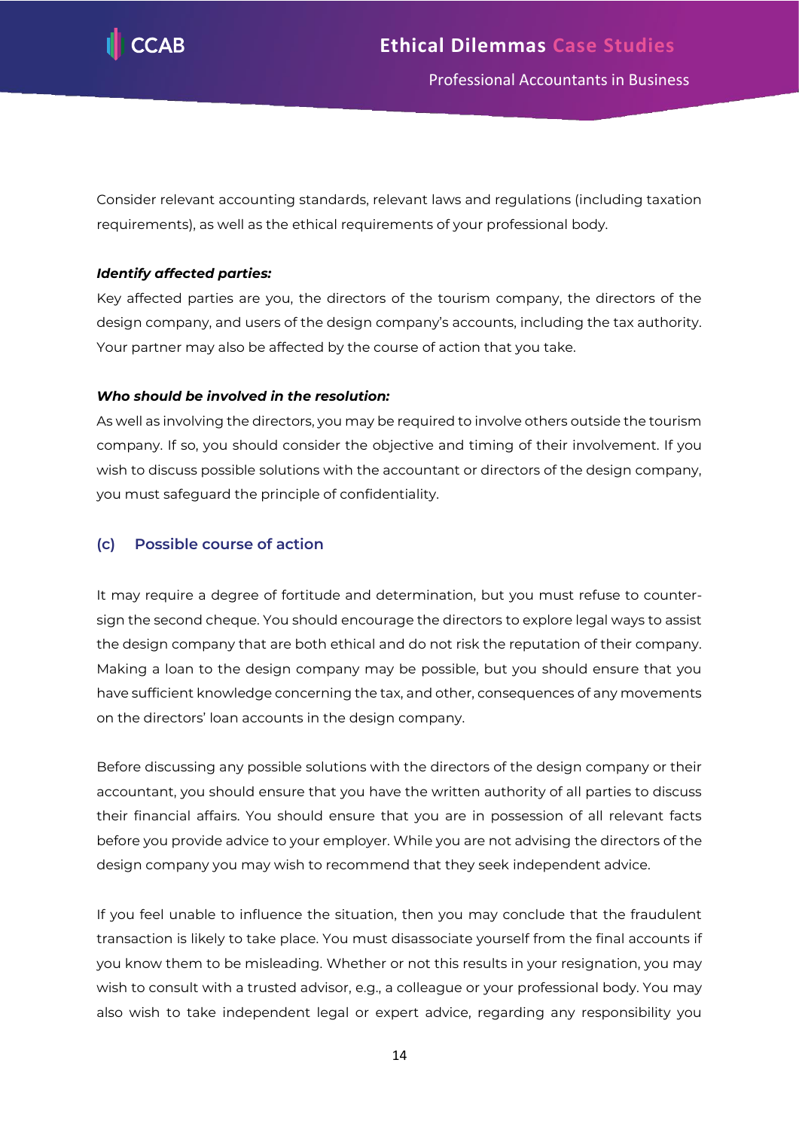

Consider relevant accounting standards, relevant laws and regulations (including taxation requirements), as well as the ethical requirements of your professional body.

#### *Identify affected parties:*

Key affected parties are you, the directors of the tourism company, the directors of the design company, and users of the design company's accounts, including the tax authority. Your partner may also be affected by the course of action that you take.

#### *Who should be involved in the resolution:*

As well as involving the directors, you may be required to involve others outside the tourism company. If so, you should consider the objective and timing of their involvement. If you wish to discuss possible solutions with the accountant or directors of the design company, you must safeguard the principle of confidentiality.

#### **(c) Possible course of action**

It may require a degree of fortitude and determination, but you must refuse to countersign the second cheque. You should encourage the directors to explore legal ways to assist the design company that are both ethical and do not risk the reputation of their company. Making a loan to the design company may be possible, but you should ensure that you have sufficient knowledge concerning the tax, and other, consequences of any movements on the directors' loan accounts in the design company.

Before discussing any possible solutions with the directors of the design company or their accountant, you should ensure that you have the written authority of all parties to discuss their financial affairs. You should ensure that you are in possession of all relevant facts before you provide advice to your employer. While you are not advising the directors of the design company you may wish to recommend that they seek independent advice.

If you feel unable to influence the situation, then you may conclude that the fraudulent transaction is likely to take place. You must disassociate yourself from the final accounts if you know them to be misleading. Whether or not this results in your resignation, you may wish to consult with a trusted advisor, e.g., a colleague or your professional body. You may also wish to take independent legal or expert advice, regarding any responsibility you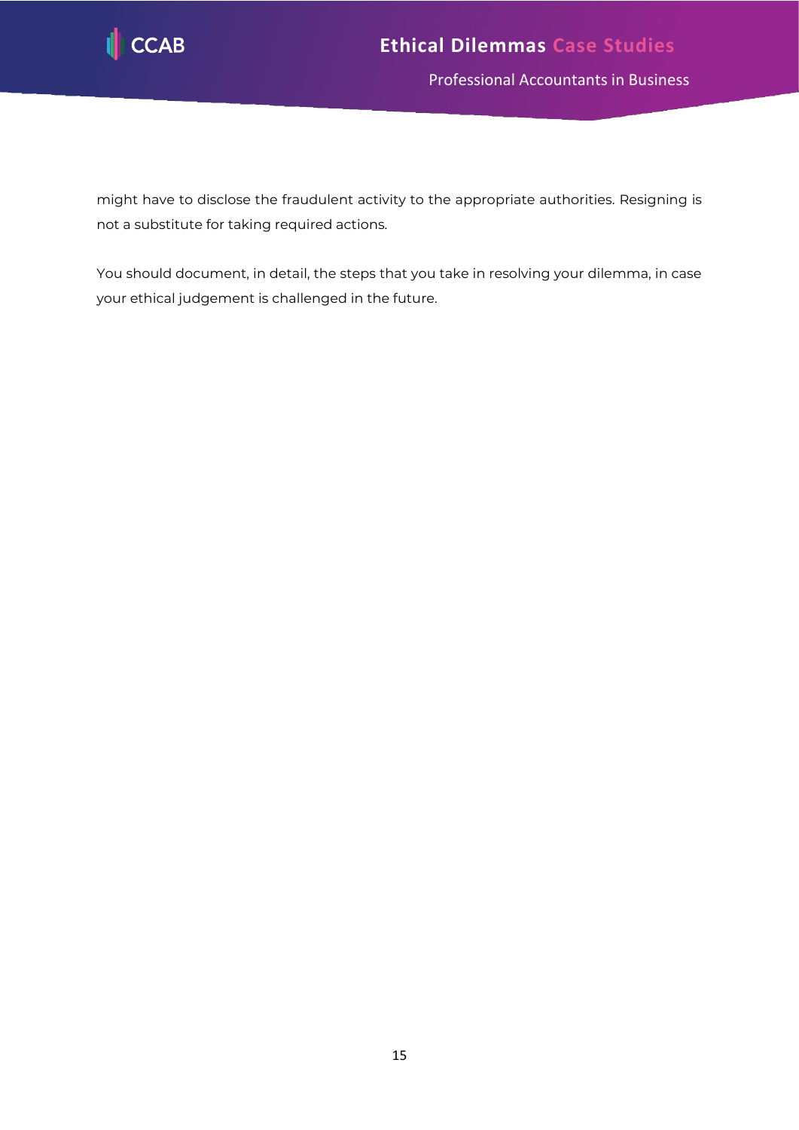

might have to disclose the fraudulent activity to the appropriate authorities. Resigning is not a substitute for taking required actions.

You should document, in detail, the steps that you take in resolving your dilemma, in case your ethical judgement is challenged in the future.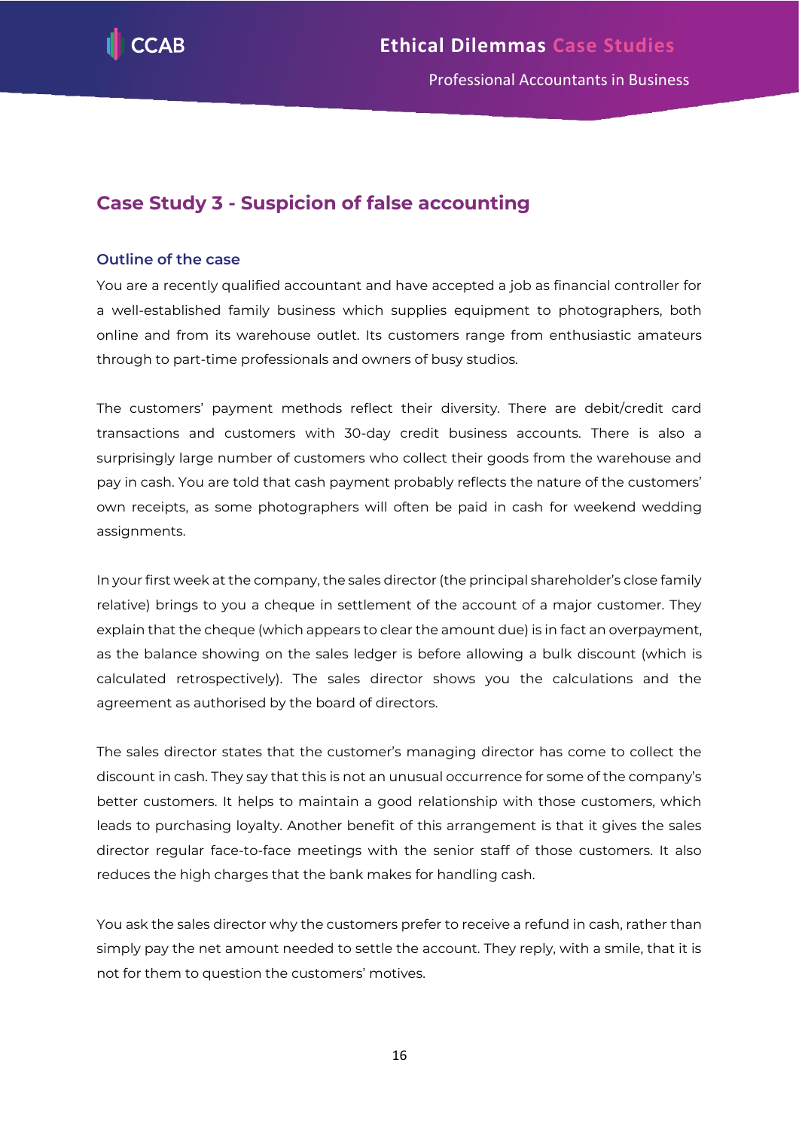

### <span id="page-16-0"></span>**Case Study 3 - Suspicion of false accounting**

#### **Outline of the case**

You are a recently qualified accountant and have accepted a job as financial controller for a well-established family business which supplies equipment to photographers, both online and from its warehouse outlet. Its customers range from enthusiastic amateurs through to part-time professionals and owners of busy studios.

The customers' payment methods reflect their diversity. There are debit/credit card transactions and customers with 30-day credit business accounts. There is also a surprisingly large number of customers who collect their goods from the warehouse and pay in cash. You are told that cash payment probably reflects the nature of the customers' own receipts, as some photographers will often be paid in cash for weekend wedding assignments.

In your first week at the company, the sales director (the principal shareholder's close family relative) brings to you a cheque in settlement of the account of a major customer. They explain that the cheque (which appears to clear the amount due) is in fact an overpayment, as the balance showing on the sales ledger is before allowing a bulk discount (which is calculated retrospectively). The sales director shows you the calculations and the agreement as authorised by the board of directors.

The sales director states that the customer's managing director has come to collect the discount in cash. They say that this is not an unusual occurrence for some of the company's better customers. It helps to maintain a good relationship with those customers, which leads to purchasing loyalty. Another benefit of this arrangement is that it gives the sales director regular face-to-face meetings with the senior staff of those customers. It also reduces the high charges that the bank makes for handling cash.

You ask the sales director why the customers prefer to receive a refund in cash, rather than simply pay the net amount needed to settle the account. They reply, with a smile, that it is not for them to question the customers' motives.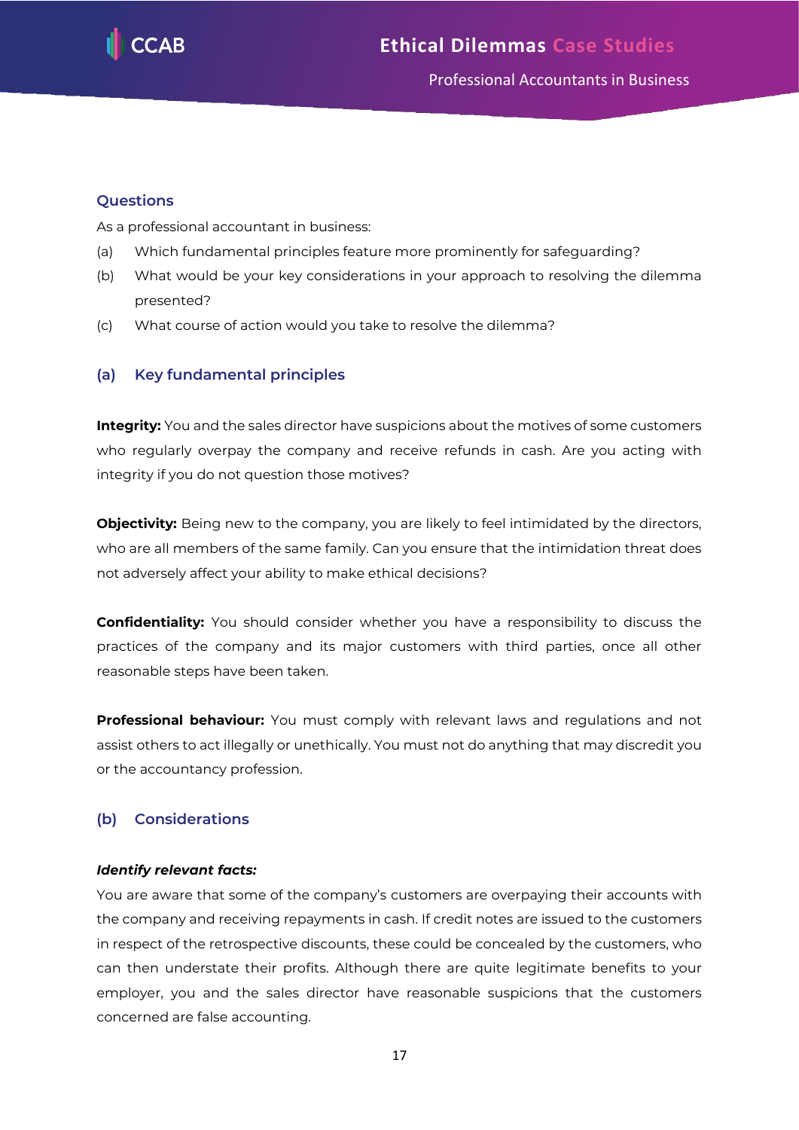

#### **Questions**

As a professional accountant in business:

- (a) Which fundamental principles feature more prominently for safeguarding?
- (b) What would be your key considerations in your approach to resolving the dilemma presented?
- (c) What course of action would you take to resolve the dilemma?

#### **(a) Key fundamental principles**

**Integrity:** You and the sales director have suspicions about the motives of some customers who regularly overpay the company and receive refunds in cash. Are you acting with integrity if you do not question those motives?

**Objectivity:** Being new to the company, you are likely to feel intimidated by the directors, who are all members of the same family. Can you ensure that the intimidation threat does not adversely affect your ability to make ethical decisions?

**Confidentiality:** You should consider whether you have a responsibility to discuss the practices of the company and its major customers with third parties, once all other reasonable steps have been taken.

**Professional behaviour:** You must comply with relevant laws and regulations and not assist others to act illegally or unethically. You must not do anything that may discredit you or the accountancy profession.

#### **(b) Considerations**

#### *Identify relevant facts:*

You are aware that some of the company's customers are overpaying their accounts with the company and receiving repayments in cash. If credit notes are issued to the customers in respect of the retrospective discounts, these could be concealed by the customers, who can then understate their profits. Although there are quite legitimate benefits to your employer, you and the sales director have reasonable suspicions that the customers concerned are false accounting.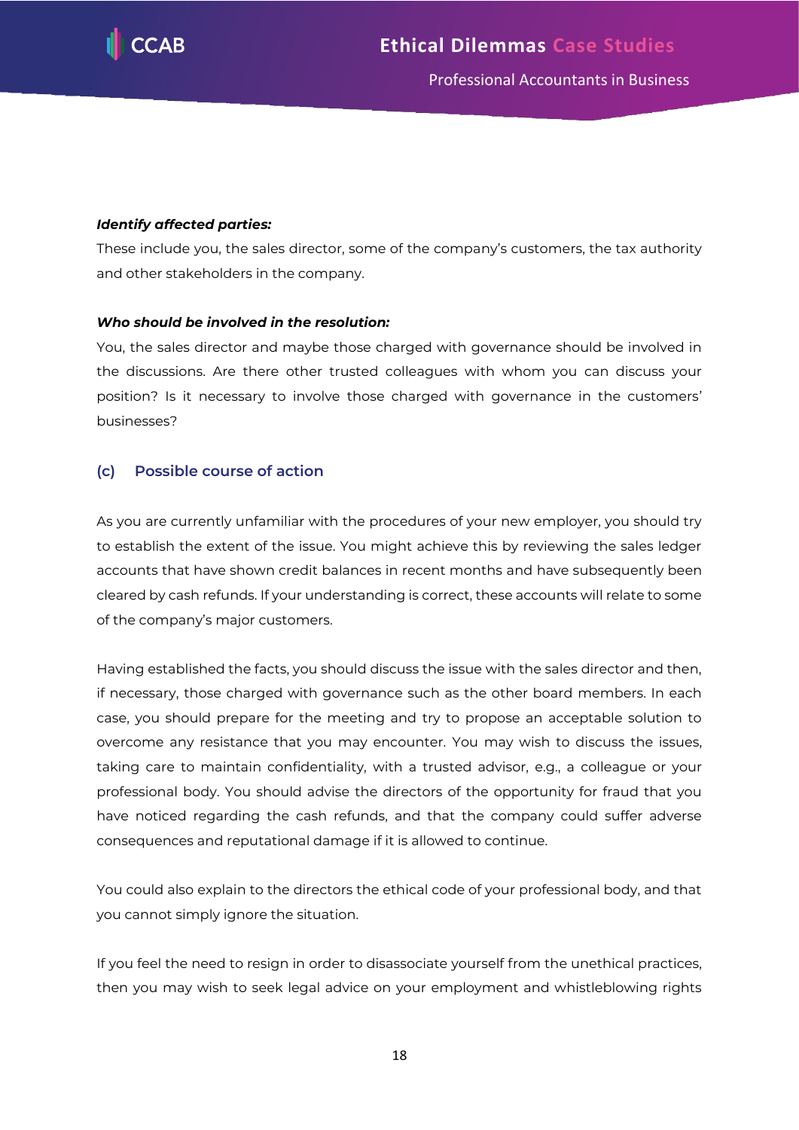

#### *Identify affected parties:*

These include you, the sales director, some of the company's customers, the tax authority and other stakeholders in the company.

#### *Who should be involved in the resolution:*

You, the sales director and maybe those charged with governance should be involved in the discussions. Are there other trusted colleagues with whom you can discuss your position? Is it necessary to involve those charged with governance in the customers' businesses?

#### **(c) Possible course of action**

As you are currently unfamiliar with the procedures of your new employer, you should try to establish the extent of the issue. You might achieve this by reviewing the sales ledger accounts that have shown credit balances in recent months and have subsequently been cleared by cash refunds. If your understanding is correct, these accounts will relate to some of the company's major customers.

Having established the facts, you should discuss the issue with the sales director and then, if necessary, those charged with governance such as the other board members. In each case, you should prepare for the meeting and try to propose an acceptable solution to overcome any resistance that you may encounter. You may wish to discuss the issues, taking care to maintain confidentiality, with a trusted advisor, e.g., a colleague or your professional body. You should advise the directors of the opportunity for fraud that you have noticed regarding the cash refunds, and that the company could suffer adverse consequences and reputational damage if it is allowed to continue.

You could also explain to the directors the ethical code of your professional body, and that you cannot simply ignore the situation.

If you feel the need to resign in order to disassociate yourself from the unethical practices, then you may wish to seek legal advice on your employment and whistleblowing rights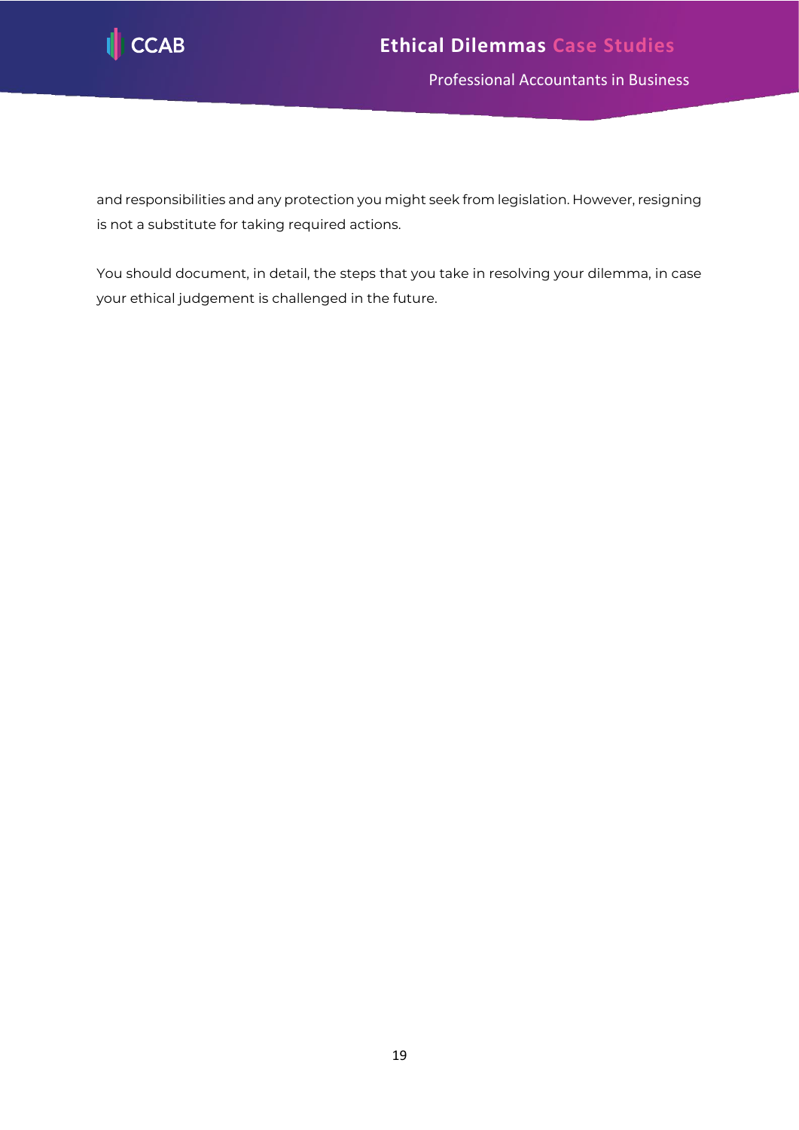

and responsibilities and any protection you might seek from legislation. However, resigning is not a substitute for taking required actions.

You should document, in detail, the steps that you take in resolving your dilemma, in case your ethical judgement is challenged in the future.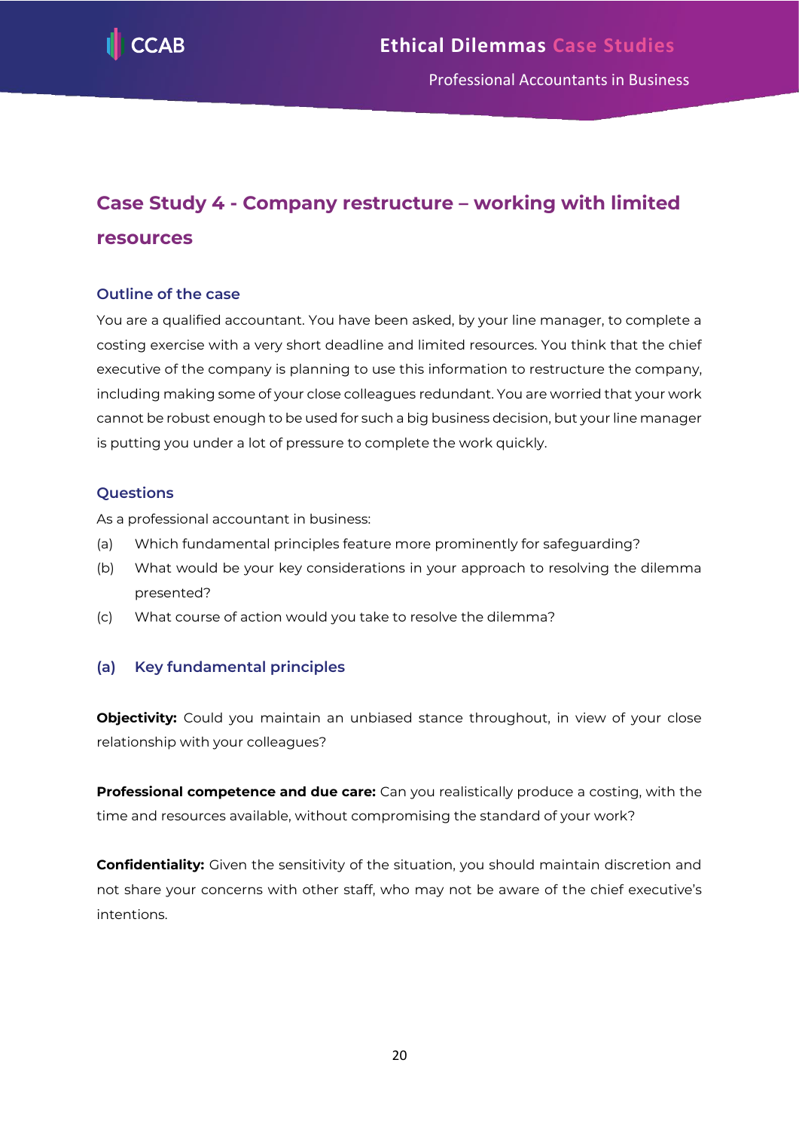

## <span id="page-20-0"></span>**Case Study 4 - Company restructure – working with limited resources**

#### **Outline of the case**

You are a qualified accountant. You have been asked, by your line manager, to complete a costing exercise with a very short deadline and limited resources. You think that the chief executive of the company is planning to use this information to restructure the company, including making some of your close colleagues redundant. You are worried that your work cannot be robust enough to be used for such a big business decision, but your line manager is putting you under a lot of pressure to complete the work quickly.

#### **Questions**

As a professional accountant in business:

- (a) Which fundamental principles feature more prominently for safeguarding?
- (b) What would be your key considerations in your approach to resolving the dilemma presented?
- (c) What course of action would you take to resolve the dilemma?

#### **(a) Key fundamental principles**

**Objectivity:** Could you maintain an unbiased stance throughout, in view of your close relationship with your colleagues?

**Professional competence and due care:** Can you realistically produce a costing, with the time and resources available, without compromising the standard of your work?

**Confidentiality:** Given the sensitivity of the situation, you should maintain discretion and not share your concerns with other staff, who may not be aware of the chief executive's intentions.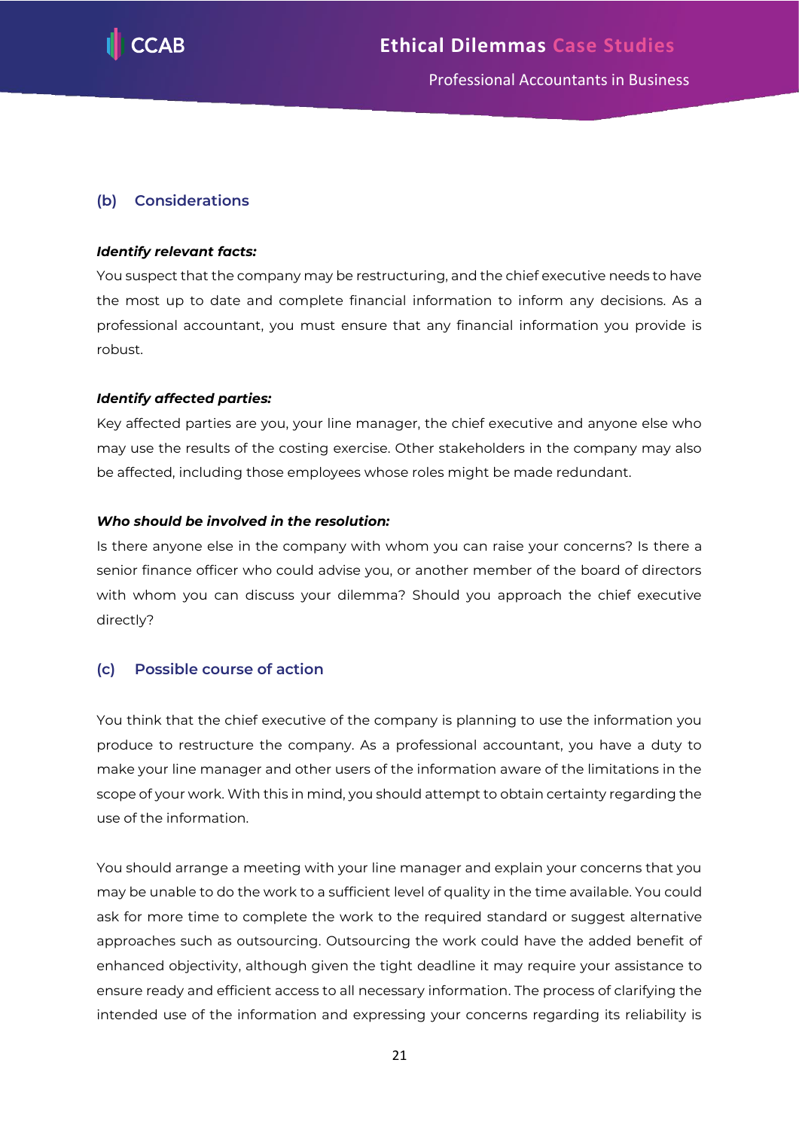

#### **(b) Considerations**

#### *Identify relevant facts:*

You suspect that the company may be restructuring, and the chief executive needs to have the most up to date and complete financial information to inform any decisions. As a professional accountant, you must ensure that any financial information you provide is robust.

#### *Identify affected parties:*

Key affected parties are you, your line manager, the chief executive and anyone else who may use the results of the costing exercise. Other stakeholders in the company may also be affected, including those employees whose roles might be made redundant.

#### *Who should be involved in the resolution:*

Is there anyone else in the company with whom you can raise your concerns? Is there a senior finance officer who could advise you, or another member of the board of directors with whom you can discuss your dilemma? Should you approach the chief executive directly?

#### **(c) Possible course of action**

You think that the chief executive of the company is planning to use the information you produce to restructure the company. As a professional accountant, you have a duty to make your line manager and other users of the information aware of the limitations in the scope of your work. With this in mind, you should attempt to obtain certainty regarding the use of the information.

You should arrange a meeting with your line manager and explain your concerns that you may be unable to do the work to a sufficient level of quality in the time available. You could ask for more time to complete the work to the required standard or suggest alternative approaches such as outsourcing. Outsourcing the work could have the added benefit of enhanced objectivity, although given the tight deadline it may require your assistance to ensure ready and efficient access to all necessary information. The process of clarifying the intended use of the information and expressing your concerns regarding its reliability is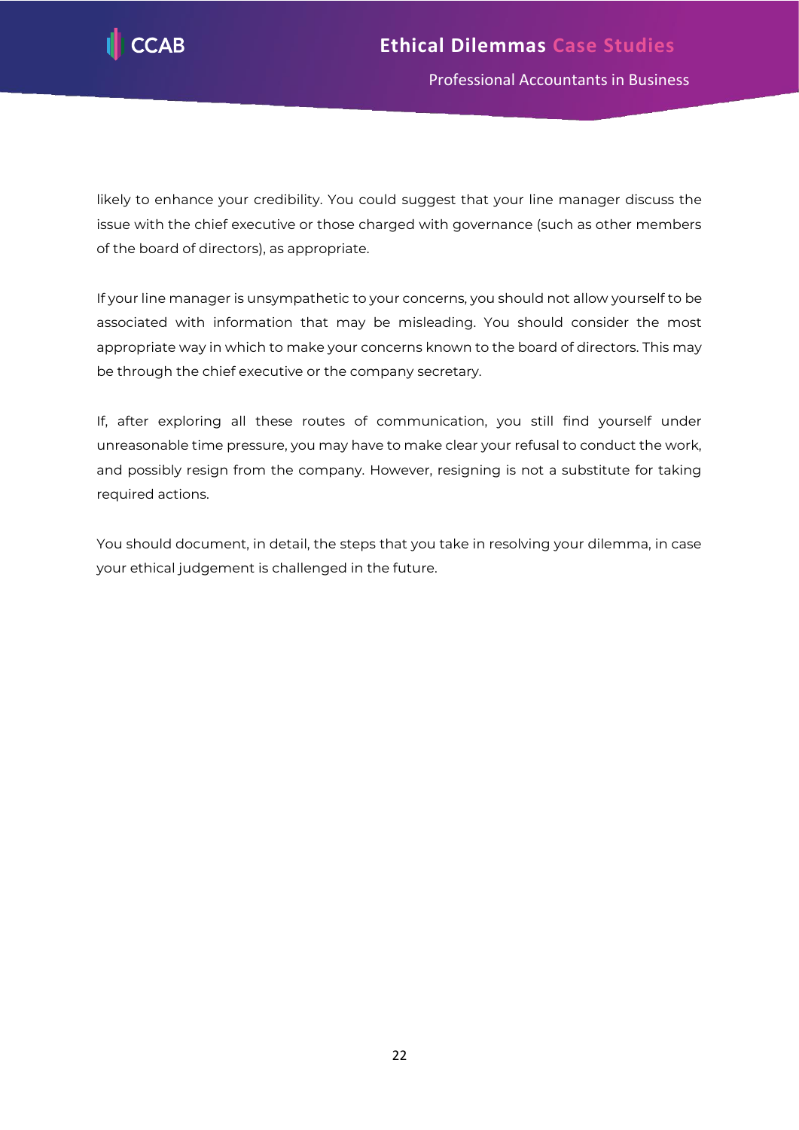

likely to enhance your credibility. You could suggest that your line manager discuss the issue with the chief executive or those charged with governance (such as other members of the board of directors), as appropriate.

If your line manager is unsympathetic to your concerns, you should not allow yourself to be associated with information that may be misleading. You should consider the most appropriate way in which to make your concerns known to the board of directors. This may be through the chief executive or the company secretary.

If, after exploring all these routes of communication, you still find yourself under unreasonable time pressure, you may have to make clear your refusal to conduct the work, and possibly resign from the company. However, resigning is not a substitute for taking required actions.

You should document, in detail, the steps that you take in resolving your dilemma, in case your ethical judgement is challenged in the future.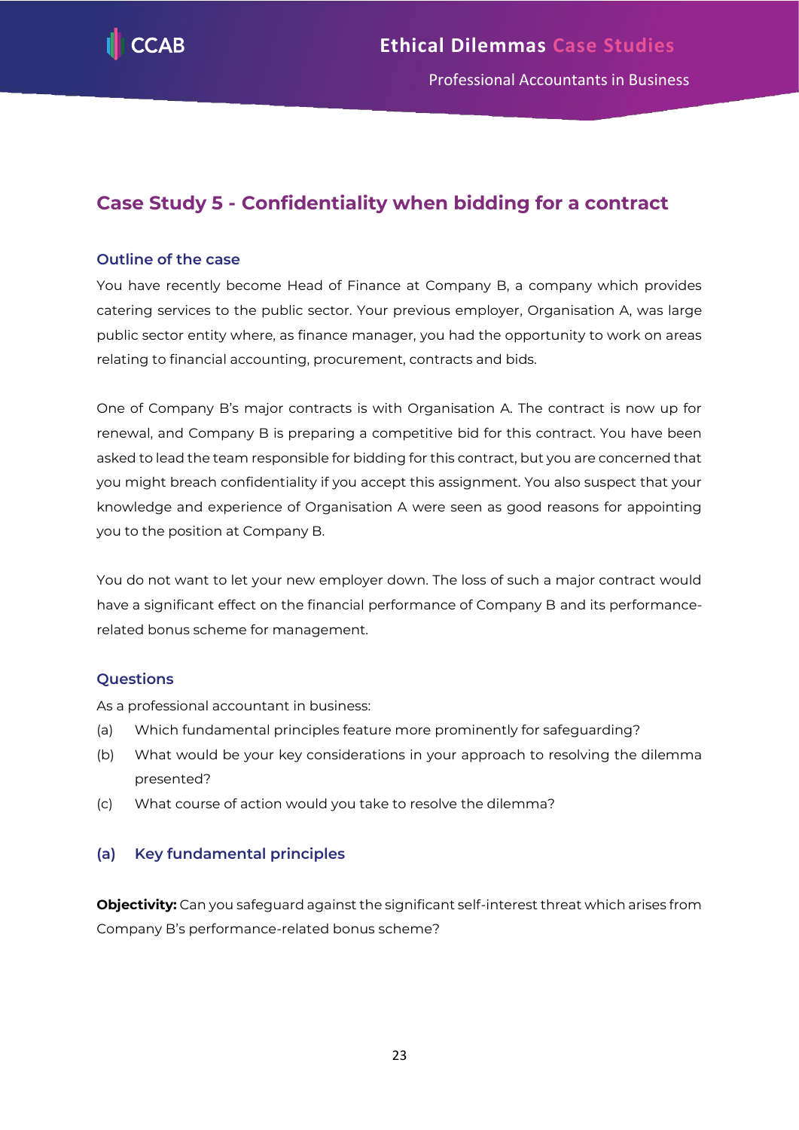

## <span id="page-23-0"></span>**Case Study 5 - Confidentiality when bidding for a contract**

#### **Outline of the case**

You have recently become Head of Finance at Company B, a company which provides catering services to the public sector. Your previous employer, Organisation A, was large public sector entity where, as finance manager, you had the opportunity to work on areas relating to financial accounting, procurement, contracts and bids.

One of Company B's major contracts is with Organisation A. The contract is now up for renewal, and Company B is preparing a competitive bid for this contract. You have been asked to lead the team responsible for bidding for this contract, but you are concerned that you might breach confidentiality if you accept this assignment. You also suspect that your knowledge and experience of Organisation A were seen as good reasons for appointing you to the position at Company B.

You do not want to let your new employer down. The loss of such a major contract would have a significant effect on the financial performance of Company B and its performancerelated bonus scheme for management.

#### **Questions**

As a professional accountant in business:

- (a) Which fundamental principles feature more prominently for safeguarding?
- (b) What would be your key considerations in your approach to resolving the dilemma presented?
- (c) What course of action would you take to resolve the dilemma?

#### **(a) Key fundamental principles**

**Objectivity:** Can you safeguard against the significant self-interest threat which arises from Company B's performance-related bonus scheme?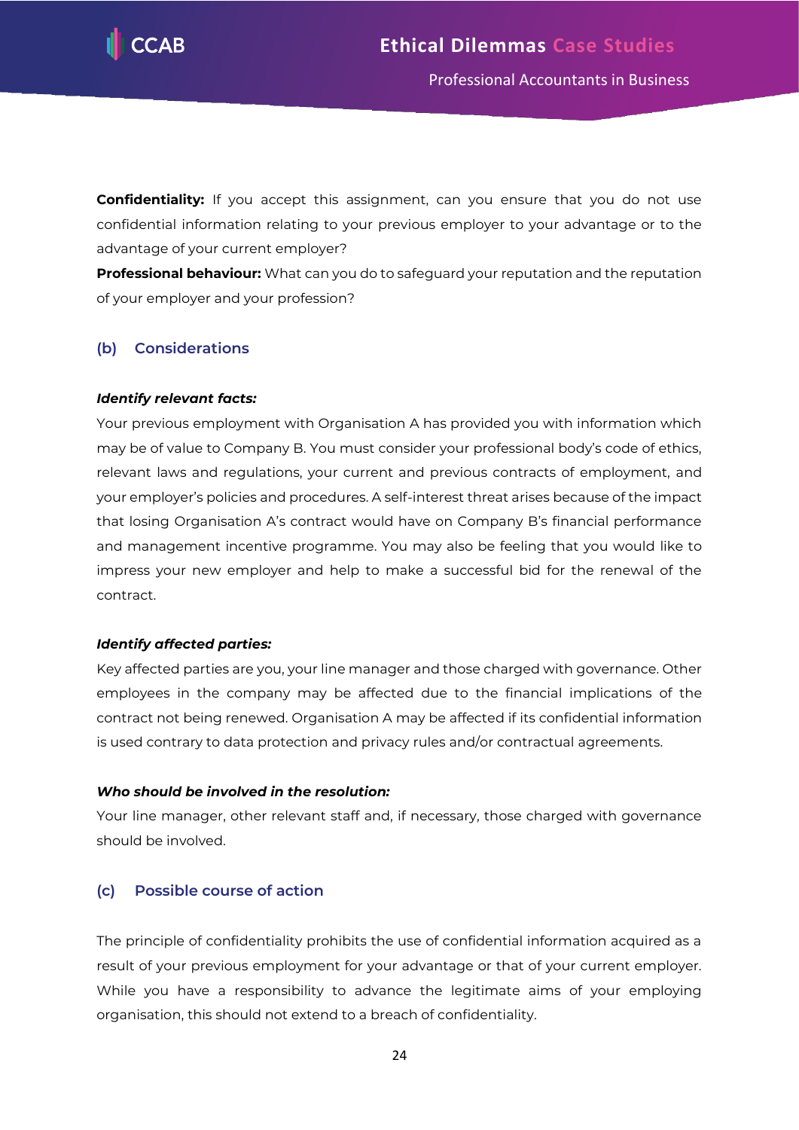

**Confidentiality:** If you accept this assignment, can you ensure that you do not use confidential information relating to your previous employer to your advantage or to the advantage of your current employer?

**Professional behaviour:** What can you do to safeguard your reputation and the reputation of your employer and your profession?

#### **(b) Considerations**

#### *Identify relevant facts:*

Your previous employment with Organisation A has provided you with information which may be of value to Company B. You must consider your professional body's code of ethics, relevant laws and regulations, your current and previous contracts of employment, and your employer's policies and procedures. A self-interest threat arises because of the impact that losing Organisation A's contract would have on Company B's financial performance and management incentive programme. You may also be feeling that you would like to impress your new employer and help to make a successful bid for the renewal of the contract.

#### *Identify affected parties:*

Key affected parties are you, your line manager and those charged with governance. Other employees in the company may be affected due to the financial implications of the contract not being renewed. Organisation A may be affected if its confidential information is used contrary to data protection and privacy rules and/or contractual agreements.

#### *Who should be involved in the resolution:*

Your line manager, other relevant staff and, if necessary, those charged with governance should be involved.

#### **(c) Possible course of action**

The principle of confidentiality prohibits the use of confidential information acquired as a result of your previous employment for your advantage or that of your current employer. While you have a responsibility to advance the legitimate aims of your employing organisation, this should not extend to a breach of confidentiality.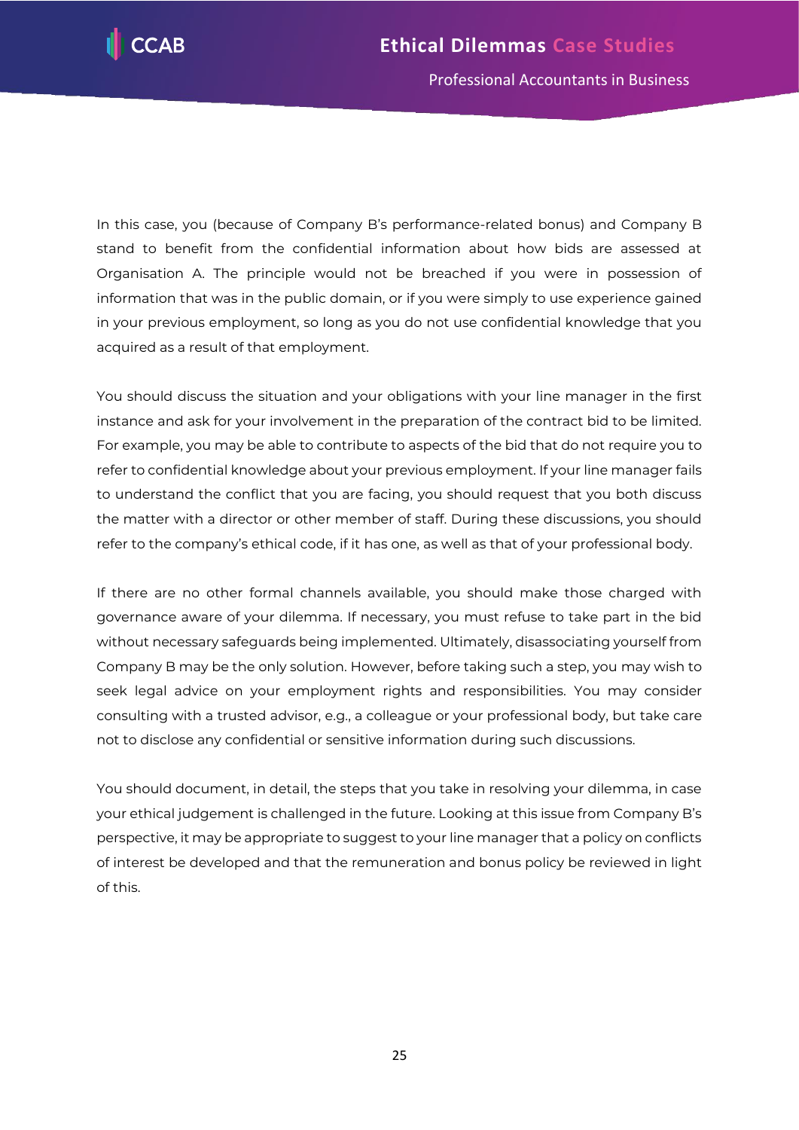

In this case, you (because of Company B's performance-related bonus) and Company B stand to benefit from the confidential information about how bids are assessed at Organisation A. The principle would not be breached if you were in possession of information that was in the public domain, or if you were simply to use experience gained in your previous employment, so long as you do not use confidential knowledge that you acquired as a result of that employment.

You should discuss the situation and your obligations with your line manager in the first instance and ask for your involvement in the preparation of the contract bid to be limited. For example, you may be able to contribute to aspects of the bid that do not require you to refer to confidential knowledge about your previous employment. If your line manager fails to understand the conflict that you are facing, you should request that you both discuss the matter with a director or other member of staff. During these discussions, you should refer to the company's ethical code, if it has one, as well as that of your professional body.

If there are no other formal channels available, you should make those charged with governance aware of your dilemma. If necessary, you must refuse to take part in the bid without necessary safeguards being implemented. Ultimately, disassociating yourself from Company B may be the only solution. However, before taking such a step, you may wish to seek legal advice on your employment rights and responsibilities. You may consider consulting with a trusted advisor, e.g., a colleague or your professional body, but take care not to disclose any confidential or sensitive information during such discussions.

You should document, in detail, the steps that you take in resolving your dilemma, in case your ethical judgement is challenged in the future. Looking at this issue from Company B's perspective, it may be appropriate to suggest to your line manager that a policy on conflicts of interest be developed and that the remuneration and bonus policy be reviewed in light of this.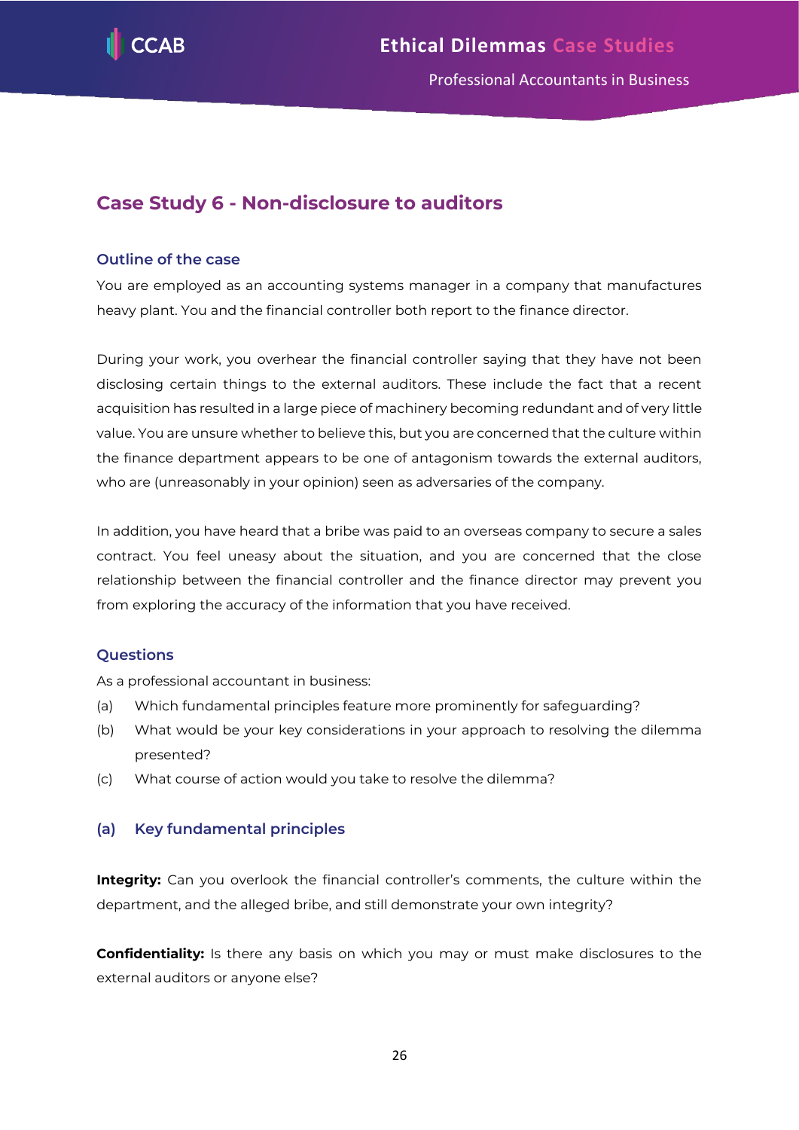

## <span id="page-26-0"></span>**Case Study 6 - Non-disclosure to auditors**

#### **Outline of the case**

You are employed as an accounting systems manager in a company that manufactures heavy plant. You and the financial controller both report to the finance director.

During your work, you overhear the financial controller saying that they have not been disclosing certain things to the external auditors. These include the fact that a recent acquisition has resulted in a large piece of machinery becoming redundant and of very little value. You are unsure whether to believe this, but you are concerned that the culture within the finance department appears to be one of antagonism towards the external auditors, who are (unreasonably in your opinion) seen as adversaries of the company.

In addition, you have heard that a bribe was paid to an overseas company to secure a sales contract. You feel uneasy about the situation, and you are concerned that the close relationship between the financial controller and the finance director may prevent you from exploring the accuracy of the information that you have received.

#### **Questions**

As a professional accountant in business:

- (a) Which fundamental principles feature more prominently for safeguarding?
- (b) What would be your key considerations in your approach to resolving the dilemma presented?
- (c) What course of action would you take to resolve the dilemma?

#### **(a) Key fundamental principles**

**Integrity:** Can you overlook the financial controller's comments, the culture within the department, and the alleged bribe, and still demonstrate your own integrity?

**Confidentiality:** Is there any basis on which you may or must make disclosures to the external auditors or anyone else?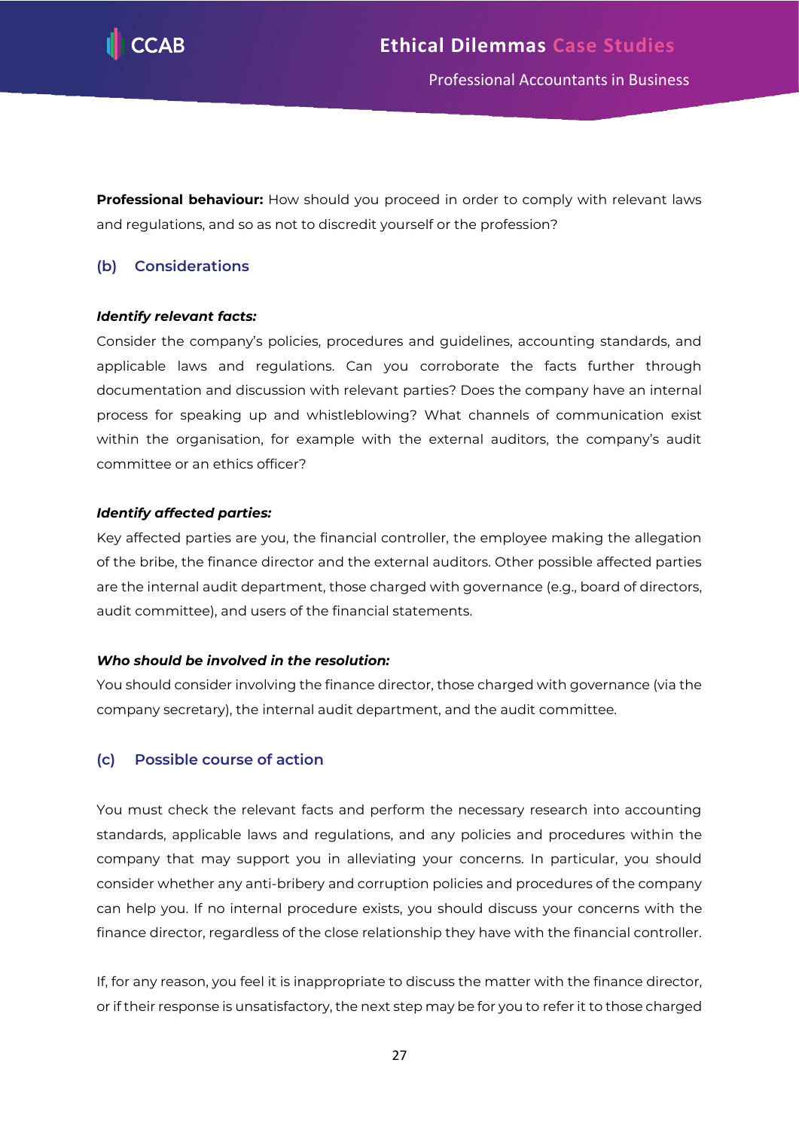

**Professional behaviour:** How should you proceed in order to comply with relevant laws and regulations, and so as not to discredit yourself or the profession?

#### **(b) Considerations**

#### *Identify relevant facts:*

Consider the company's policies, procedures and guidelines, accounting standards, and applicable laws and regulations. Can you corroborate the facts further through documentation and discussion with relevant parties? Does the company have an internal process for speaking up and whistleblowing? What channels of communication exist within the organisation, for example with the external auditors, the company's audit committee or an ethics officer?

#### *Identify affected parties:*

Key affected parties are you, the financial controller, the employee making the allegation of the bribe, the finance director and the external auditors. Other possible affected parties are the internal audit department, those charged with governance (e.g., board of directors, audit committee), and users of the financial statements.

#### *Who should be involved in the resolution:*

You should consider involving the finance director, those charged with governance (via the company secretary), the internal audit department, and the audit committee.

#### **(c) Possible course of action**

You must check the relevant facts and perform the necessary research into accounting standards, applicable laws and regulations, and any policies and procedures within the company that may support you in alleviating your concerns. In particular, you should consider whether any anti-bribery and corruption policies and procedures of the company can help you. If no internal procedure exists, you should discuss your concerns with the finance director, regardless of the close relationship they have with the financial controller.

If, for any reason, you feel it is inappropriate to discuss the matter with the finance director, or if their response is unsatisfactory, the next step may be for you to refer it to those charged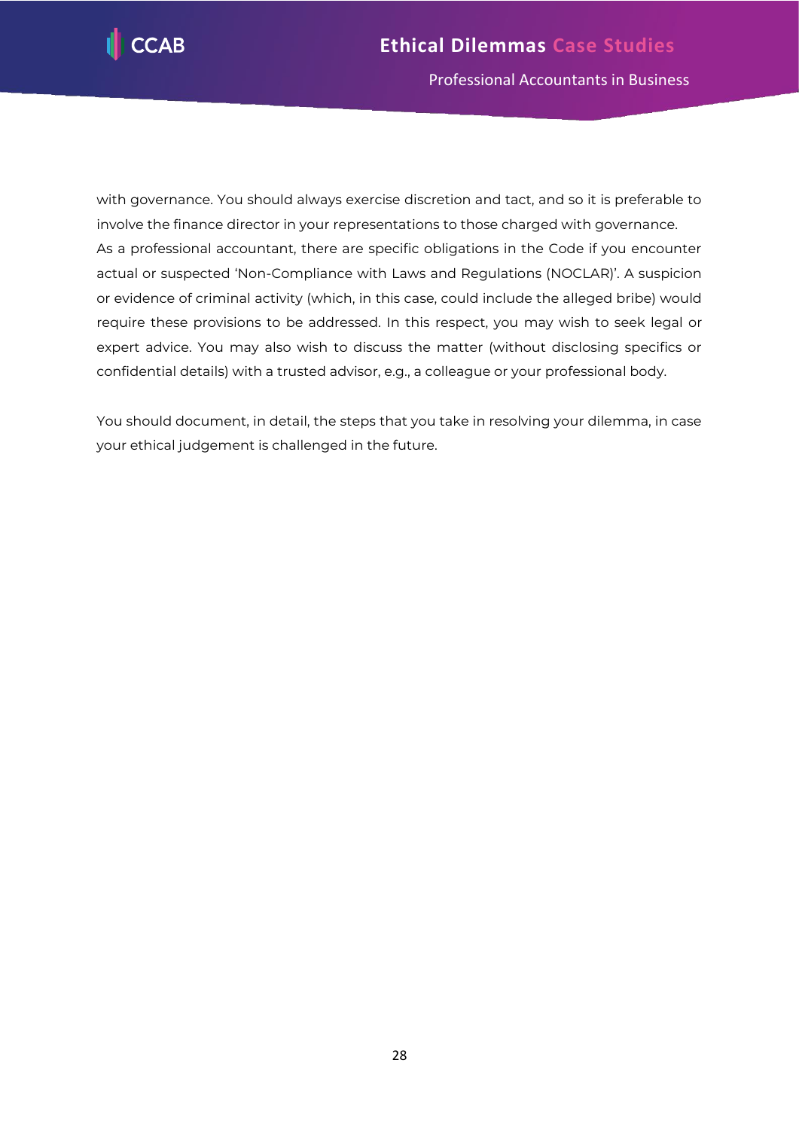

with governance. You should always exercise discretion and tact, and so it is preferable to involve the finance director in your representations to those charged with governance. As a professional accountant, there are specific obligations in the Code if you encounter actual or suspected 'Non-Compliance with Laws and Regulations (NOCLAR)'. A suspicion or evidence of criminal activity (which, in this case, could include the alleged bribe) would require these provisions to be addressed. In this respect, you may wish to seek legal or expert advice. You may also wish to discuss the matter (without disclosing specifics or confidential details) with a trusted advisor, e.g., a colleague or your professional body.

You should document, in detail, the steps that you take in resolving your dilemma, in case your ethical judgement is challenged in the future.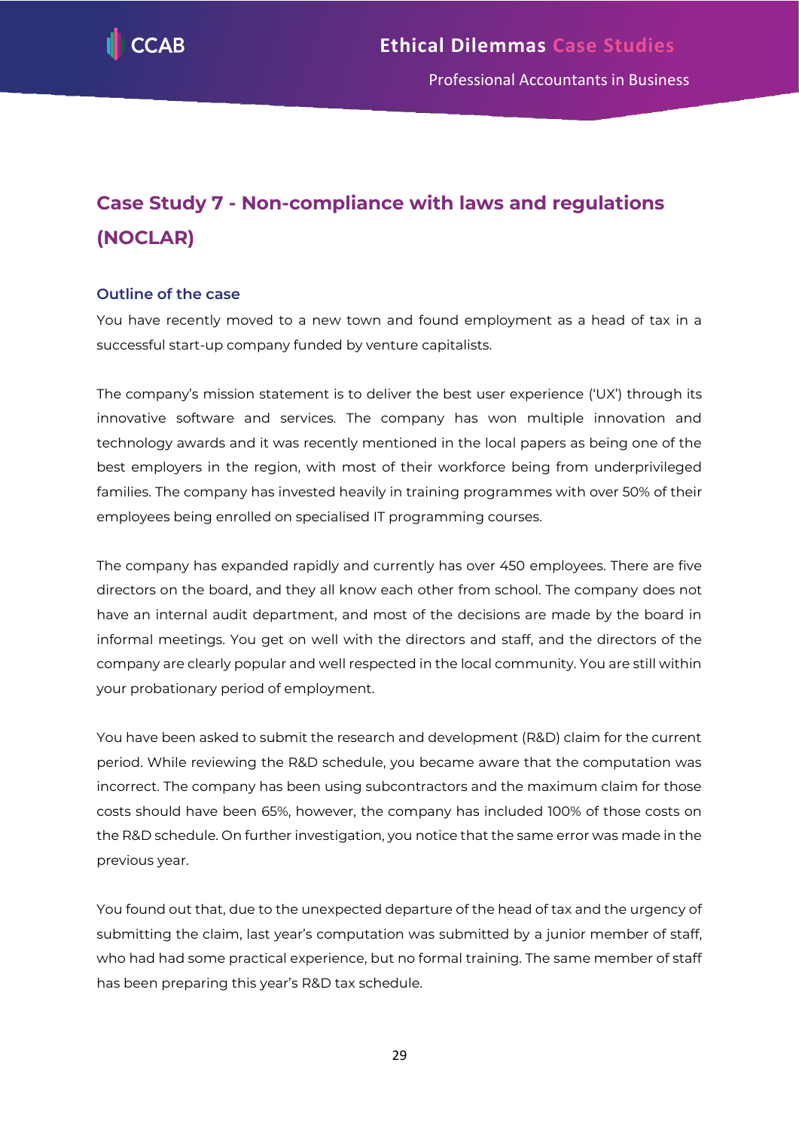

## <span id="page-29-0"></span>**Case Study 7 - Non-compliance with laws and regulations (NOCLAR)**

#### **Outline of the case**

You have recently moved to a new town and found employment as a head of tax in a successful start-up company funded by venture capitalists.

The company's mission statement is to deliver the best user experience ('UX') through its innovative software and services. The company has won multiple innovation and technology awards and it was recently mentioned in the local papers as being one of the best employers in the region, with most of their workforce being from underprivileged families. The company has invested heavily in training programmes with over 50% of their employees being enrolled on specialised IT programming courses.

The company has expanded rapidly and currently has over 450 employees. There are five directors on the board, and they all know each other from school. The company does not have an internal audit department, and most of the decisions are made by the board in informal meetings. You get on well with the directors and staff, and the directors of the company are clearly popular and well respected in the local community. You are still within your probationary period of employment.

You have been asked to submit the research and development (R&D) claim for the current period. While reviewing the R&D schedule, you became aware that the computation was incorrect. The company has been using subcontractors and the maximum claim for those costs should have been 65%, however, the company has included 100% of those costs on the R&D schedule. On further investigation, you notice that the same error was made in the previous year.

You found out that, due to the unexpected departure of the head of tax and the urgency of submitting the claim, last year's computation was submitted by a junior member of staff, who had had some practical experience, but no formal training. The same member of staff has been preparing this year's R&D tax schedule.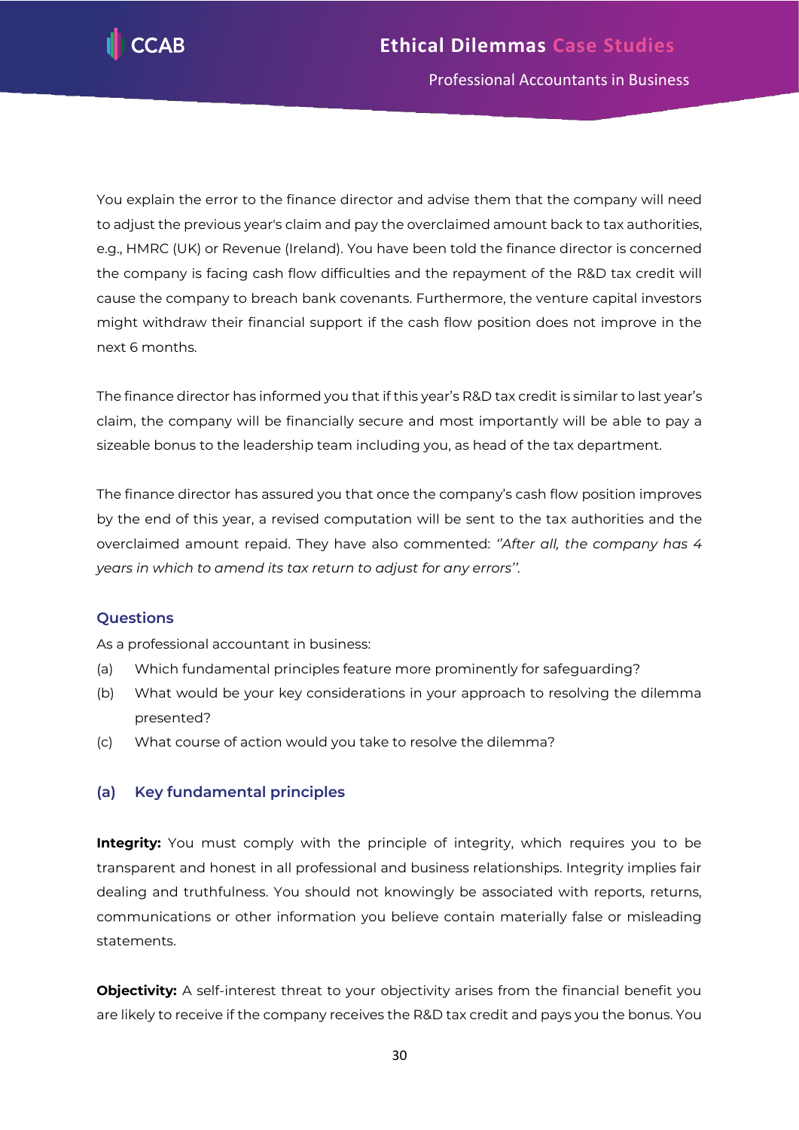

You explain the error to the finance director and advise them that the company will need to adjust the previous year's claim and pay the overclaimed amount back to tax authorities, e.g., HMRC (UK) or Revenue (Ireland). You have been told the finance director is concerned the company is facing cash flow difficulties and the repayment of the R&D tax credit will cause the company to breach bank covenants. Furthermore, the venture capital investors might withdraw their financial support if the cash flow position does not improve in the next 6 months.

The finance director has informed you that if this year's R&D tax credit is similar to last year's claim, the company will be financially secure and most importantly will be able to pay a sizeable bonus to the leadership team including you, as head of the tax department.

The finance director has assured you that once the company's cash flow position improves by the end of this year, a revised computation will be sent to the tax authorities and the overclaimed amount repaid. They have also commented: *''After all, the company has 4 years in which to amend its tax return to adjust for any errors''.*

#### **Questions**

As a professional accountant in business:

- (a) Which fundamental principles feature more prominently for safeguarding?
- (b) What would be your key considerations in your approach to resolving the dilemma presented?
- (c) What course of action would you take to resolve the dilemma?

#### **(a) Key fundamental principles**

**Integrity:** You must comply with the principle of integrity, which requires you to be transparent and honest in all professional and business relationships. Integrity implies fair dealing and truthfulness. You should not knowingly be associated with reports, returns, communications or other information you believe contain materially false or misleading statements.

**Objectivity:** A self-interest threat to your objectivity arises from the financial benefit you are likely to receive if the company receives the R&D tax credit and pays you the bonus. You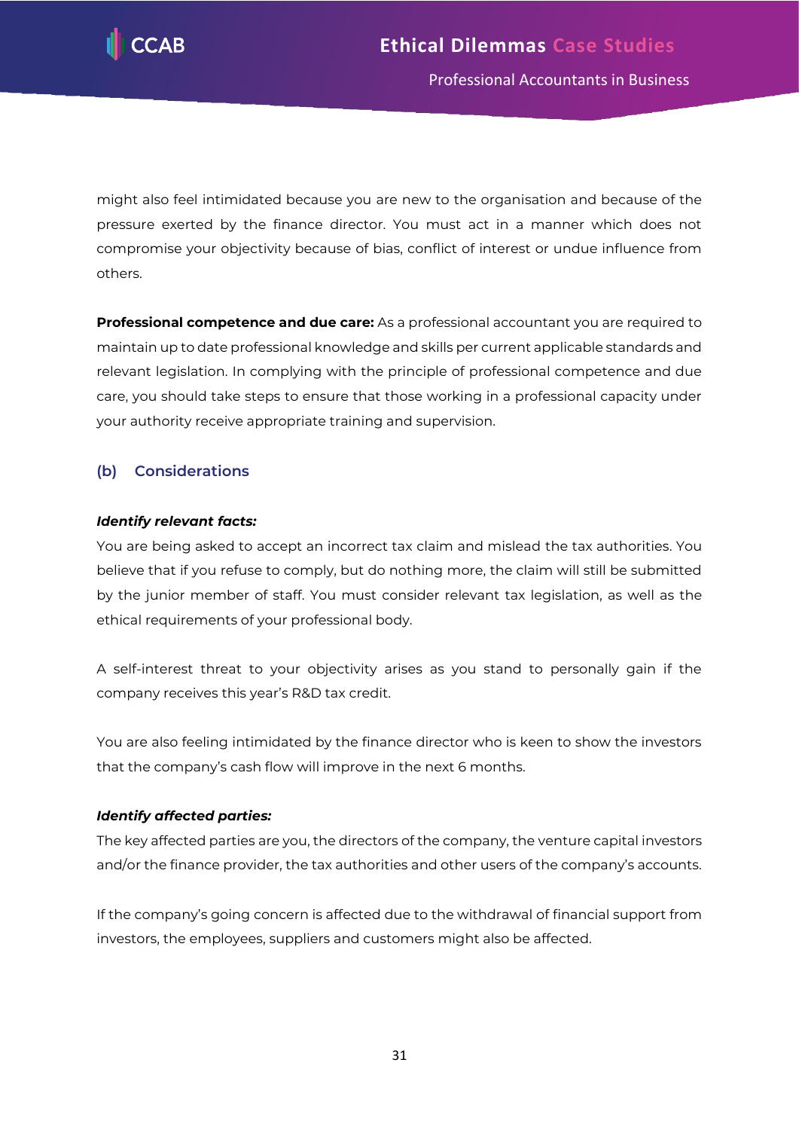

might also feel intimidated because you are new to the organisation and because of the pressure exerted by the finance director. You must act in a manner which does not compromise your objectivity because of bias, conflict of interest or undue influence from others.

**Professional competence and due care:** As a professional accountant you are required to maintain up to date professional knowledge and skills per current applicable standards and relevant legislation. In complying with the principle of professional competence and due care, you should take steps to ensure that those working in a professional capacity under your authority receive appropriate training and supervision.

#### **(b) Considerations**

#### *Identify relevant facts:*

You are being asked to accept an incorrect tax claim and mislead the tax authorities. You believe that if you refuse to comply, but do nothing more, the claim will still be submitted by the junior member of staff. You must consider relevant tax legislation, as well as the ethical requirements of your professional body.

A self-interest threat to your objectivity arises as you stand to personally gain if the company receives this year's R&D tax credit.

You are also feeling intimidated by the finance director who is keen to show the investors that the company's cash flow will improve in the next 6 months.

#### *Identify affected parties:*

The key affected parties are you, the directors of the company, the venture capital investors and/or the finance provider, the tax authorities and other users of the company's accounts.

If the company's going concern is affected due to the withdrawal of financial support from investors, the employees, suppliers and customers might also be affected.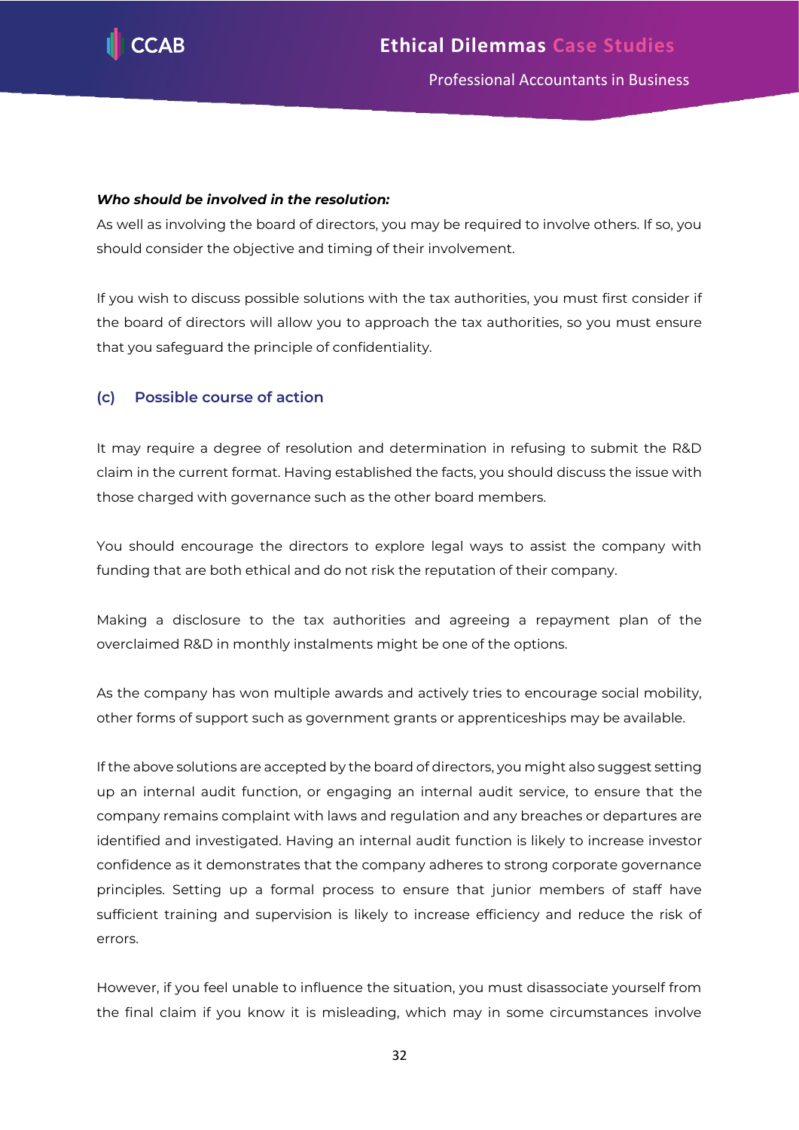

#### *Who should be involved in the resolution:*

As well as involving the board of directors, you may be required to involve others. If so, you should consider the objective and timing of their involvement.

If you wish to discuss possible solutions with the tax authorities, you must first consider if the board of directors will allow you to approach the tax authorities, so you must ensure that you safeguard the principle of confidentiality.

#### **(c) Possible course of action**

It may require a degree of resolution and determination in refusing to submit the R&D claim in the current format. Having established the facts, you should discuss the issue with those charged with governance such as the other board members.

You should encourage the directors to explore legal ways to assist the company with funding that are both ethical and do not risk the reputation of their company.

Making a disclosure to the tax authorities and agreeing a repayment plan of the overclaimed R&D in monthly instalments might be one of the options.

As the company has won multiple awards and actively tries to encourage social mobility, other forms of support such as government grants or apprenticeships may be available.

If the above solutions are accepted by the board of directors, you might also suggest setting up an internal audit function, or engaging an internal audit service, to ensure that the company remains complaint with laws and regulation and any breaches or departures are identified and investigated. Having an internal audit function is likely to increase investor confidence as it demonstrates that the company adheres to strong corporate governance principles. Setting up a formal process to ensure that junior members of staff have sufficient training and supervision is likely to increase efficiency and reduce the risk of errors.

However, if you feel unable to influence the situation, you must disassociate yourself from the final claim if you know it is misleading, which may in some circumstances involve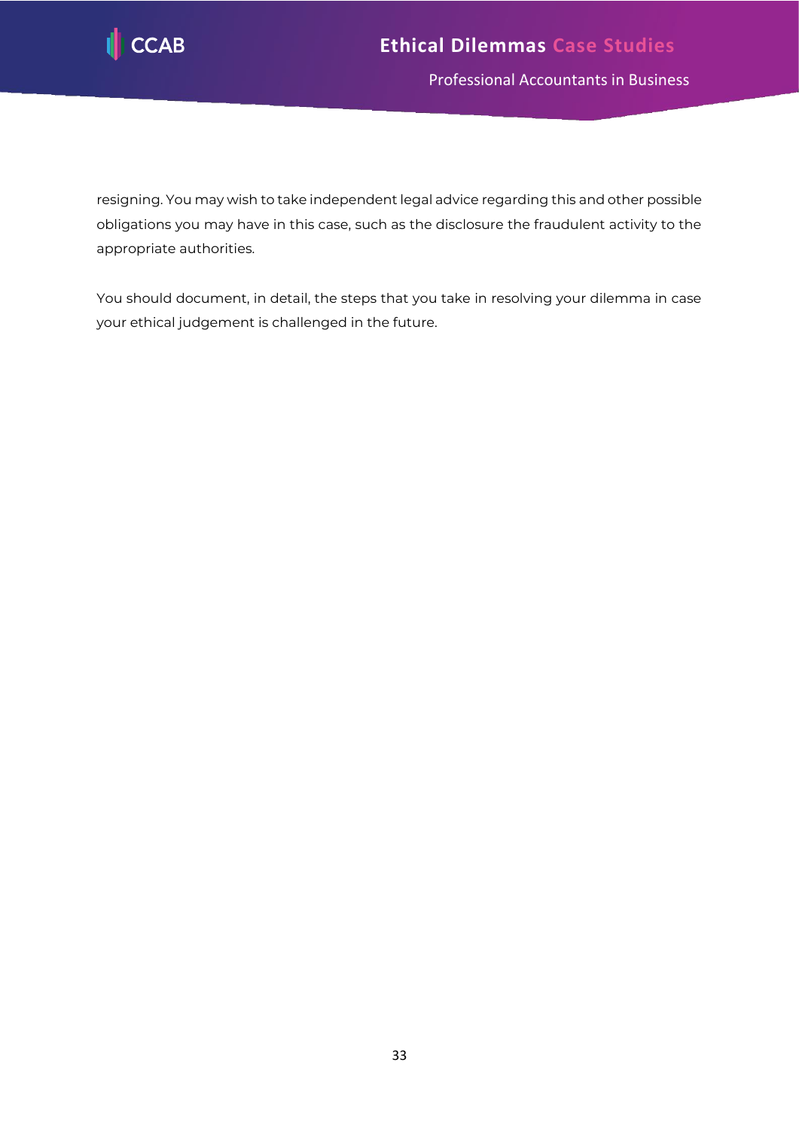

resigning. You may wish to take independent legal advice regarding this and other possible obligations you may have in this case, such as the disclosure the fraudulent activity to the appropriate authorities.

You should document, in detail, the steps that you take in resolving your dilemma in case your ethical judgement is challenged in the future.